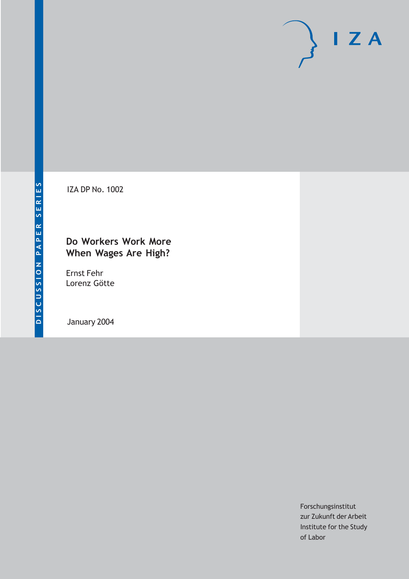# $I Z A$

IZA DP No. 1002

# **Do Workers Work More When Wages Are High?**

Ernst Fehr Lorenz Götte

January 2004

Forschungsinstitut zur Zukunft der Arbeit Institute for the Study of Labor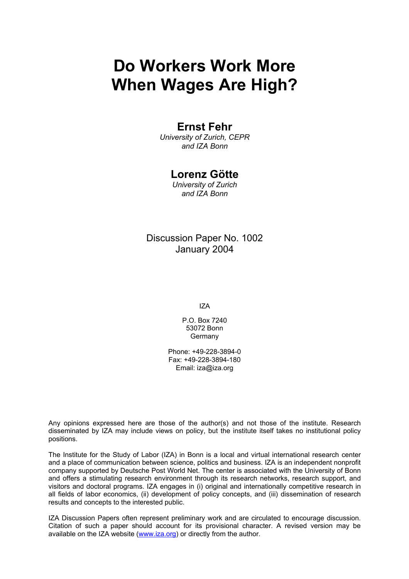# **Do Workers Work More When Wages Are High?**

# **Ernst Fehr**

*University of Zurich, CEPR and IZA Bonn* 

# **Lorenz Götte**

*University of Zurich and IZA Bonn* 

Discussion Paper No. 1002 January 2004

IZA

P.O. Box 7240 53072 Bonn Germany

Phone: +49-228-3894-0 Fax: +49-228-3894-180 Email: [iza@iza.org](mailto:iza@iza.org)

Any opinions expressed here are those of the author(s) and not those of the institute. Research disseminated by IZA may include views on policy, but the institute itself takes no institutional policy positions.

The Institute for the Study of Labor (IZA) in Bonn is a local and virtual international research center and a place of communication between science, politics and business. IZA is an independent nonprofit company supported by Deutsche Post World Net. The center is associated with the University of Bonn and offers a stimulating research environment through its research networks, research support, and visitors and doctoral programs. IZA engages in (i) original and internationally competitive research in all fields of labor economics, (ii) development of policy concepts, and (iii) dissemination of research results and concepts to the interested public.

IZA Discussion Papers often represent preliminary work and are circulated to encourage discussion. Citation of such a paper should account for its provisional character. A revised version may be available on the IZA website ([www.iza.org](http://www.iza.org/)) or directly from the author.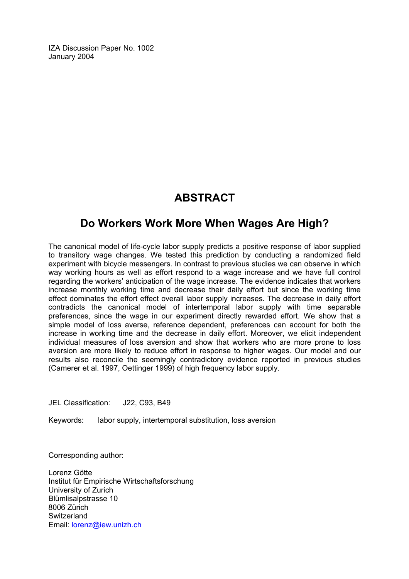IZA Discussion Paper No. 1002 January 2004

# **ABSTRACT**

# **Do Workers Work More When Wages Are High?**

The canonical model of life-cycle labor supply predicts a positive response of labor supplied to transitory wage changes. We tested this prediction by conducting a randomized field experiment with bicycle messengers. In contrast to previous studies we can observe in which way working hours as well as effort respond to a wage increase and we have full control regarding the workers' anticipation of the wage increase. The evidence indicates that workers increase monthly working time and decrease their daily effort but since the working time effect dominates the effort effect overall labor supply increases. The decrease in daily effort contradicts the canonical model of intertemporal labor supply with time separable preferences, since the wage in our experiment directly rewarded effort. We show that a simple model of loss averse, reference dependent, preferences can account for both the increase in working time and the decrease in daily effort. Moreover, we elicit independent individual measures of loss aversion and show that workers who are more prone to loss aversion are more likely to reduce effort in response to higher wages. Our model and our results also reconcile the seemingly contradictory evidence reported in previous studies (Camerer et al. 1997, Oettinger 1999) of high frequency labor supply.

JEL Classification: J22, C93, B49

Keywords: labor supply, intertemporal substitution, loss aversion

Corresponding author:

Lorenz Götte Institut für Empirische Wirtschaftsforschung University of Zurich Blümlisalpstrasse 10 8006 Zürich **Switzerland** Email: [lorenz@iew.unizh.ch](mailto:lorenz@iew.unizh.ch)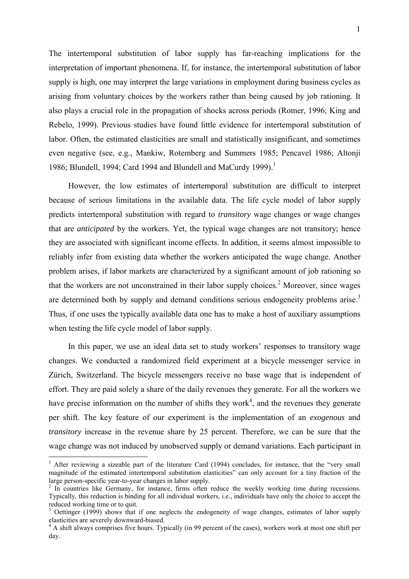The intertemporal substitution of labor supply has far-reaching implications for the interpretation of important phenomena. If, for instance, the intertemporal substitution of labor supply is high, one may interpret the large variations in employment during business cycles as arising from voluntary choices by the workers rather than being caused by job rationing. It also plays a crucial role in the propagation of shocks across periods (Romer, 1996; King and Rebelo, 1999). Previous studies have found little evidence for intertemporal substitution of labor. Often, the estimated elasticities are small and statistically insignificant, and sometimes even negative (see, e.g., Mankiw, Rotemberg and Summers 1985; Pencavel 1986; Altonji 1986; Blundell, 1994; Card 1994 and Blundell and MaCurdy 1999).<sup>1</sup>

However, the low estimates of intertemporal substitution are difficult to interpret because of serious limitations in the available data. The life cycle model of labor supply predicts intertemporal substitution with regard to *transitory* wage changes or wage changes that are *anticipated* by the workers. Yet, the typical wage changes are not transitory; hence they are associated with significant income effects. In addition, it seems almost impossible to reliably infer from existing data whether the workers anticipated the wage change. Another problem arises, if labor markets are characterized by a significant amount of job rationing so that the workers are not unconstrained in their labor supply choices.<sup>2</sup> Moreover, since wages are determined both by supply and demand conditions serious endogeneity problems arise.<sup>3</sup> Thus, if one uses the typically available data one has to make a host of auxiliary assumptions when testing the life cycle model of labor supply.

In this paper, we use an ideal data set to study workers' responses to transitory wage changes. We conducted a randomized field experiment at a bicycle messenger service in Zürich, Switzerland. The bicycle messengers receive no base wage that is independent of effort. They are paid solely a share of the daily revenues they generate. For all the workers we have precise information on the number of shifts they work<sup>4</sup>, and the revenues they generate per shift. The key feature of our experiment is the implementation of an *exogenous* and *transitory* increase in the revenue share by 25 percent. Therefore, we can be sure that the wage change was not induced by unobserved supply or demand variations. Each participant in

<sup>&</sup>lt;sup>1</sup> After reviewing a sizeable part of the literature Card (1994) concludes, for instance, that the "very small magnitude of the estimated intertemporal substitution elasticities" can only account for a tiny fraction of the large person-specific year-to-year changes in labor supply.

<sup>&</sup>lt;sup>2</sup> In countries like Germany, for instance, firms often reduce the weekly working time during recessions. Typically, this reduction is binding for all individual workers, i.e., individuals have only the choice to accept the reduced working time or to quit.

<sup>&</sup>lt;sup>3</sup> Oettinger (1999) shows that if one neglects the endogeneity of wage changes, estimates of labor supply elasticities are severely downward-biased.

<sup>&</sup>lt;sup>4</sup> A shift always comprises five hours. Typically (in 99 percent of the cases), workers work at most one shift per day.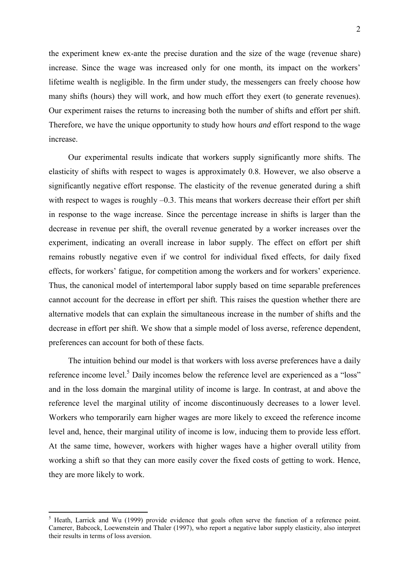the experiment knew ex-ante the precise duration and the size of the wage (revenue share) increase. Since the wage was increased only for one month, its impact on the workers' lifetime wealth is negligible. In the firm under study, the messengers can freely choose how many shifts (hours) they will work, and how much effort they exert (to generate revenues). Our experiment raises the returns to increasing both the number of shifts and effort per shift. Therefore, we have the unique opportunity to study how hours *and* effort respond to the wage increase.

Our experimental results indicate that workers supply significantly more shifts. The elasticity of shifts with respect to wages is approximately 0.8. However, we also observe a significantly negative effort response. The elasticity of the revenue generated during a shift with respect to wages is roughly  $-0.3$ . This means that workers decrease their effort per shift in response to the wage increase. Since the percentage increase in shifts is larger than the decrease in revenue per shift, the overall revenue generated by a worker increases over the experiment, indicating an overall increase in labor supply. The effect on effort per shift remains robustly negative even if we control for individual fixed effects, for daily fixed effects, for workers' fatigue, for competition among the workers and for workers' experience. Thus, the canonical model of intertemporal labor supply based on time separable preferences cannot account for the decrease in effort per shift. This raises the question whether there are alternative models that can explain the simultaneous increase in the number of shifts and the decrease in effort per shift. We show that a simple model of loss averse, reference dependent, preferences can account for both of these facts.

The intuition behind our model is that workers with loss averse preferences have a daily reference income level.<sup>5</sup> Daily incomes below the reference level are experienced as a "loss" and in the loss domain the marginal utility of income is large. In contrast, at and above the reference level the marginal utility of income discontinuously decreases to a lower level. Workers who temporarily earn higher wages are more likely to exceed the reference income level and, hence, their marginal utility of income is low, inducing them to provide less effort. At the same time, however, workers with higher wages have a higher overall utility from working a shift so that they can more easily cover the fixed costs of getting to work. Hence, they are more likely to work.

 $<sup>5</sup>$  Heath, Larrick and Wu (1999) provide evidence that goals often serve the function of a reference point.</sup> Camerer, Babcock, Loewenstein and Thaler (1997), who report a negative labor supply elasticity, also interpret their results in terms of loss aversion.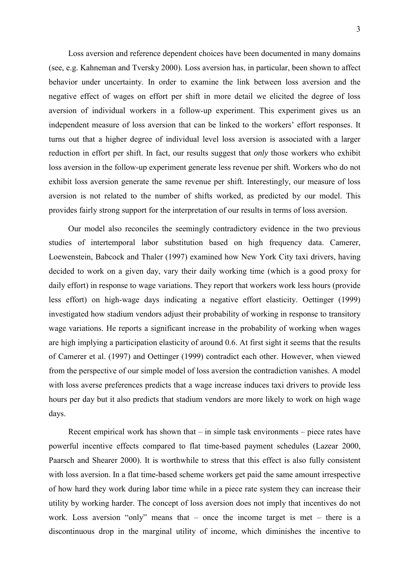Loss aversion and reference dependent choices have been documented in many domains (see, e.g. Kahneman and Tversky 2000). Loss aversion has, in particular, been shown to affect behavior under uncertainty. In order to examine the link between loss aversion and the negative effect of wages on effort per shift in more detail we elicited the degree of loss aversion of individual workers in a follow-up experiment. This experiment gives us an independent measure of loss aversion that can be linked to the workers' effort responses. It turns out that a higher degree of individual level loss aversion is associated with a larger reduction in effort per shift. In fact, our results suggest that *only* those workers who exhibit loss aversion in the follow-up experiment generate less revenue per shift. Workers who do not exhibit loss aversion generate the same revenue per shift. Interestingly, our measure of loss aversion is not related to the number of shifts worked, as predicted by our model. This provides fairly strong support for the interpretation of our results in terms of loss aversion.

Our model also reconciles the seemingly contradictory evidence in the two previous studies of intertemporal labor substitution based on high frequency data. Camerer, Loewenstein, Babcock and Thaler (1997) examined how New York City taxi drivers, having decided to work on a given day, vary their daily working time (which is a good proxy for daily effort) in response to wage variations. They report that workers work less hours (provide less effort) on high-wage days indicating a negative effort elasticity. Oettinger (1999) investigated how stadium vendors adjust their probability of working in response to transitory wage variations. He reports a significant increase in the probability of working when wages are high implying a participation elasticity of around 0.6. At first sight it seems that the results of Camerer et al. (1997) and Oettinger (1999) contradict each other. However, when viewed from the perspective of our simple model of loss aversion the contradiction vanishes. A model with loss averse preferences predicts that a wage increase induces taxi drivers to provide less hours per day but it also predicts that stadium vendors are more likely to work on high wage days.

Recent empirical work has shown that – in simple task environments – piece rates have powerful incentive effects compared to flat time-based payment schedules (Lazear 2000, Paarsch and Shearer 2000). It is worthwhile to stress that this effect is also fully consistent with loss aversion. In a flat time-based scheme workers get paid the same amount irrespective of how hard they work during labor time while in a piece rate system they can increase their utility by working harder. The concept of loss aversion does not imply that incentives do not work. Loss aversion "only" means that – once the income target is met – there is a discontinuous drop in the marginal utility of income, which diminishes the incentive to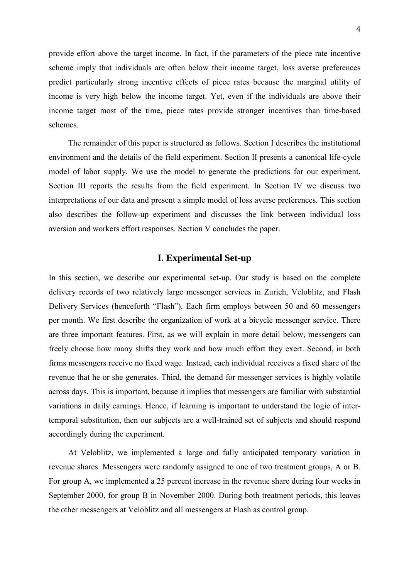provide effort above the target income. In fact, if the parameters of the piece rate incentive scheme imply that individuals are often below their income target, loss averse preferences predict particularly strong incentive effects of piece rates because the marginal utility of income is very high below the income target. Yet, even if the individuals are above their income target most of the time, piece rates provide stronger incentives than time-based schemes.

The remainder of this paper is structured as follows. Section I describes the institutional environment and the details of the field experiment. Section II presents a canonical life-cycle model of labor supply. We use the model to generate the predictions for our experiment. Section III reports the results from the field experiment. In Section IV we discuss two interpretations of our data and present a simple model of loss averse preferences. This section also describes the follow-up experiment and discusses the link between individual loss aversion and workers effort responses. Section V concludes the paper.

### **I. Experimental Set-up**

In this section, we describe our experimental set-up. Our study is based on the complete delivery records of two relatively large messenger services in Zurich, Veloblitz, and Flash Delivery Services (henceforth "Flash"). Each firm employs between 50 and 60 messengers per month. We first describe the organization of work at a bicycle messenger service. There are three important features. First, as we will explain in more detail below, messengers can freely choose how many shifts they work and how much effort they exert. Second, in both firms messengers receive no fixed wage. Instead, each individual receives a fixed share of the revenue that he or she generates. Third, the demand for messenger services is highly volatile across days. This is important, because it implies that messengers are familiar with substantial variations in daily earnings. Hence, if learning is important to understand the logic of intertemporal substitution, then our subjects are a well-trained set of subjects and should respond accordingly during the experiment.

At Veloblitz, we implemented a large and fully anticipated temporary variation in revenue shares. Messengers were randomly assigned to one of two treatment groups, A or B. For group A, we implemented a 25 percent increase in the revenue share during four weeks in September 2000, for group B in November 2000. During both treatment periods, this leaves the other messengers at Veloblitz and all messengers at Flash as control group.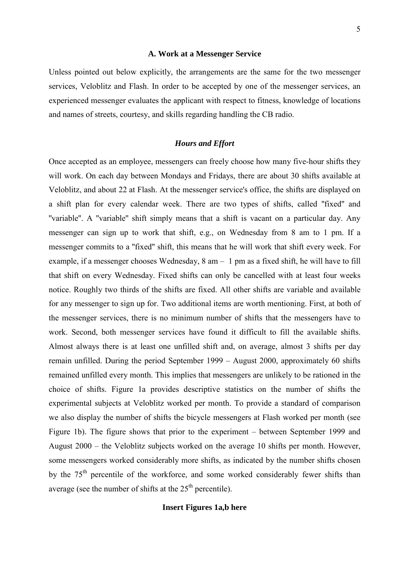### **A. Work at a Messenger Service**

Unless pointed out below explicitly, the arrangements are the same for the two messenger services, Veloblitz and Flash. In order to be accepted by one of the messenger services, an experienced messenger evaluates the applicant with respect to fitness, knowledge of locations and names of streets, courtesy, and skills regarding handling the CB radio.

### *Hours and Effort*

Once accepted as an employee, messengers can freely choose how many five-hour shifts they will work. On each day between Mondays and Fridays, there are about 30 shifts available at Veloblitz, and about 22 at Flash. At the messenger service's office, the shifts are displayed on a shift plan for every calendar week. There are two types of shifts, called ''fixed'' and "variable". A "variable" shift simply means that a shift is vacant on a particular day. Any messenger can sign up to work that shift, e.g., on Wednesday from 8 am to 1 pm. If a messenger commits to a ''fixed'' shift, this means that he will work that shift every week. For example, if a messenger chooses Wednesday, 8 am – 1 pm as a fixed shift, he will have to fill that shift on every Wednesday. Fixed shifts can only be cancelled with at least four weeks notice. Roughly two thirds of the shifts are fixed. All other shifts are variable and available for any messenger to sign up for. Two additional items are worth mentioning. First, at both of the messenger services, there is no minimum number of shifts that the messengers have to work. Second, both messenger services have found it difficult to fill the available shifts. Almost always there is at least one unfilled shift and, on average, almost 3 shifts per day remain unfilled. During the period September 1999 – August 2000, approximately 60 shifts remained unfilled every month. This implies that messengers are unlikely to be rationed in the choice of shifts. Figure 1a provides descriptive statistics on the number of shifts the experimental subjects at Veloblitz worked per month. To provide a standard of comparison we also display the number of shifts the bicycle messengers at Flash worked per month (see Figure 1b). The figure shows that prior to the experiment – between September 1999 and August 2000 – the Veloblitz subjects worked on the average 10 shifts per month. However, some messengers worked considerably more shifts, as indicated by the number shifts chosen by the 75<sup>th</sup> percentile of the workforce, and some worked considerably fewer shifts than average (see the number of shifts at the  $25<sup>th</sup>$  percentile).

### **Insert Figures 1a,b here**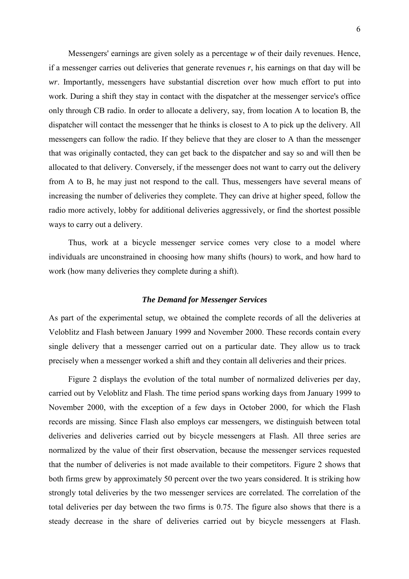Messengers' earnings are given solely as a percentage *w* of their daily revenues. Hence, if a messenger carries out deliveries that generate revenues *r*, his earnings on that day will be *wr*. Importantly, messengers have substantial discretion over how much effort to put into work. During a shift they stay in contact with the dispatcher at the messenger service's office only through CB radio. In order to allocate a delivery, say, from location A to location B, the dispatcher will contact the messenger that he thinks is closest to A to pick up the delivery. All messengers can follow the radio. If they believe that they are closer to A than the messenger that was originally contacted, they can get back to the dispatcher and say so and will then be allocated to that delivery. Conversely, if the messenger does not want to carry out the delivery from A to B, he may just not respond to the call. Thus, messengers have several means of increasing the number of deliveries they complete. They can drive at higher speed, follow the radio more actively, lobby for additional deliveries aggressively, or find the shortest possible ways to carry out a delivery.

Thus, work at a bicycle messenger service comes very close to a model where individuals are unconstrained in choosing how many shifts (hours) to work, and how hard to work (how many deliveries they complete during a shift).

### *The Demand for Messenger Services*

As part of the experimental setup, we obtained the complete records of all the deliveries at Veloblitz and Flash between January 1999 and November 2000. These records contain every single delivery that a messenger carried out on a particular date. They allow us to track precisely when a messenger worked a shift and they contain all deliveries and their prices.

Figure 2 displays the evolution of the total number of normalized deliveries per day, carried out by Veloblitz and Flash. The time period spans working days from January 1999 to November 2000, with the exception of a few days in October 2000, for which the Flash records are missing. Since Flash also employs car messengers, we distinguish between total deliveries and deliveries carried out by bicycle messengers at Flash. All three series are normalized by the value of their first observation, because the messenger services requested that the number of deliveries is not made available to their competitors. Figure 2 shows that both firms grew by approximately 50 percent over the two years considered. It is striking how strongly total deliveries by the two messenger services are correlated. The correlation of the total deliveries per day between the two firms is 0.75. The figure also shows that there is a steady decrease in the share of deliveries carried out by bicycle messengers at Flash.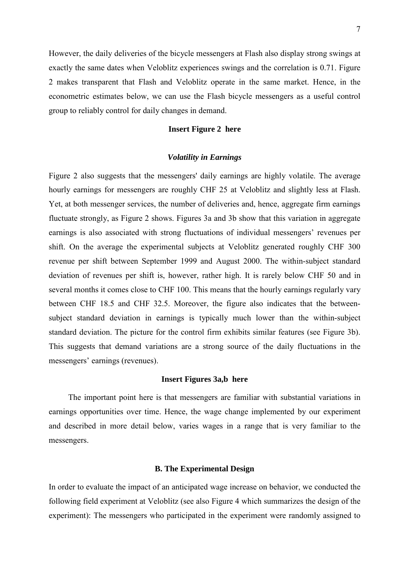However, the daily deliveries of the bicycle messengers at Flash also display strong swings at exactly the same dates when Veloblitz experiences swings and the correlation is 0.71. Figure 2 makes transparent that Flash and Veloblitz operate in the same market. Hence, in the econometric estimates below, we can use the Flash bicycle messengers as a useful control group to reliably control for daily changes in demand.

### **Insert Figure 2 here**

### *Volatility in Earnings*

Figure 2 also suggests that the messengers' daily earnings are highly volatile. The average hourly earnings for messengers are roughly CHF 25 at Veloblitz and slightly less at Flash. Yet, at both messenger services, the number of deliveries and, hence, aggregate firm earnings fluctuate strongly, as Figure 2 shows. Figures 3a and 3b show that this variation in aggregate earnings is also associated with strong fluctuations of individual messengers' revenues per shift. On the average the experimental subjects at Veloblitz generated roughly CHF 300 revenue per shift between September 1999 and August 2000. The within-subject standard deviation of revenues per shift is, however, rather high. It is rarely below CHF 50 and in several months it comes close to CHF 100. This means that the hourly earnings regularly vary between CHF 18.5 and CHF 32.5. Moreover, the figure also indicates that the betweensubject standard deviation in earnings is typically much lower than the within-subject standard deviation. The picture for the control firm exhibits similar features (see Figure 3b). This suggests that demand variations are a strong source of the daily fluctuations in the messengers' earnings (revenues).

### **Insert Figures 3a,b here**

The important point here is that messengers are familiar with substantial variations in earnings opportunities over time. Hence, the wage change implemented by our experiment and described in more detail below, varies wages in a range that is very familiar to the messengers.

### **B. The Experimental Design**

In order to evaluate the impact of an anticipated wage increase on behavior, we conducted the following field experiment at Veloblitz (see also Figure 4 which summarizes the design of the experiment): The messengers who participated in the experiment were randomly assigned to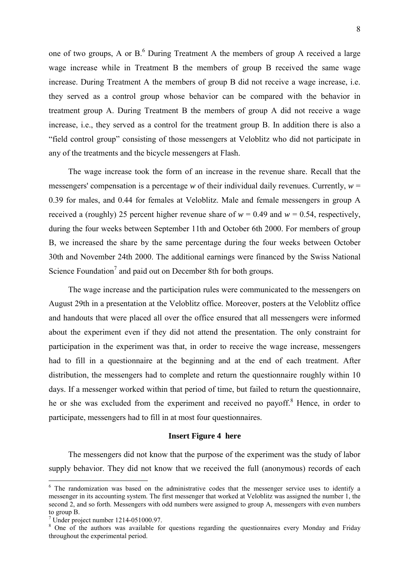one of two groups, A or  $B$ <sup>6</sup> During Treatment A the members of group A received a large wage increase while in Treatment B the members of group B received the same wage increase. During Treatment A the members of group B did not receive a wage increase, i.e. they served as a control group whose behavior can be compared with the behavior in treatment group A. During Treatment B the members of group A did not receive a wage increase, i.e., they served as a control for the treatment group B. In addition there is also a "field control group" consisting of those messengers at Veloblitz who did not participate in any of the treatments and the bicycle messengers at Flash.

The wage increase took the form of an increase in the revenue share. Recall that the messengers' compensation is a percentage *w* of their individual daily revenues. Currently,  $w =$ 0.39 for males, and 0.44 for females at Veloblitz. Male and female messengers in group A received a (roughly) 25 percent higher revenue share of  $w = 0.49$  and  $w = 0.54$ , respectively, during the four weeks between September 11th and October 6th 2000. For members of group B, we increased the share by the same percentage during the four weeks between October 30th and November 24th 2000. The additional earnings were financed by the Swiss National Science Foundation<sup>7</sup> and paid out on December 8th for both groups.

The wage increase and the participation rules were communicated to the messengers on August 29th in a presentation at the Veloblitz office. Moreover, posters at the Veloblitz office and handouts that were placed all over the office ensured that all messengers were informed about the experiment even if they did not attend the presentation. The only constraint for participation in the experiment was that, in order to receive the wage increase, messengers had to fill in a questionnaire at the beginning and at the end of each treatment. After distribution, the messengers had to complete and return the questionnaire roughly within 10 days. If a messenger worked within that period of time, but failed to return the questionnaire, he or she was excluded from the experiment and received no payoff.<sup>8</sup> Hence, in order to participate, messengers had to fill in at most four questionnaires.

### **Insert Figure 4 here**

The messengers did not know that the purpose of the experiment was the study of labor supply behavior. They did not know that we received the full (anonymous) records of each

<sup>&</sup>lt;sup>6</sup> The randomization was based on the administrative codes that the messenger service uses to identify a messenger in its accounting system. The first messenger that worked at Veloblitz was assigned the number 1, the second 2, and so forth. Messengers with odd numbers were assigned to group A, messengers with even numbers to group B.

<sup>7</sup> Under project number 1214-051000.97.

<sup>&</sup>lt;sup>8</sup> One of the authors was available for questions regarding the questionnaires every Monday and Friday throughout the experimental period.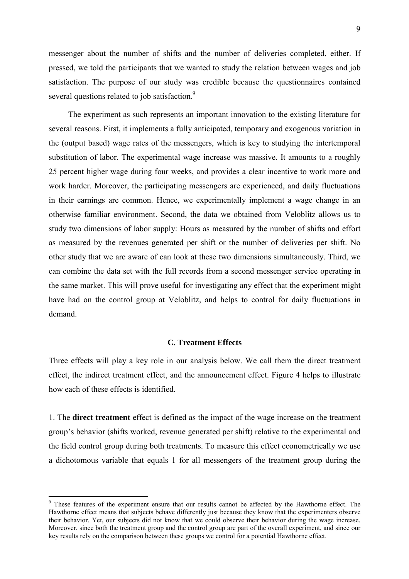messenger about the number of shifts and the number of deliveries completed, either. If pressed, we told the participants that we wanted to study the relation between wages and job satisfaction. The purpose of our study was credible because the questionnaires contained several questions related to job satisfaction.<sup>9</sup>

The experiment as such represents an important innovation to the existing literature for several reasons. First, it implements a fully anticipated, temporary and exogenous variation in the (output based) wage rates of the messengers, which is key to studying the intertemporal substitution of labor. The experimental wage increase was massive. It amounts to a roughly 25 percent higher wage during four weeks, and provides a clear incentive to work more and work harder. Moreover, the participating messengers are experienced, and daily fluctuations in their earnings are common. Hence, we experimentally implement a wage change in an otherwise familiar environment. Second, the data we obtained from Veloblitz allows us to study two dimensions of labor supply: Hours as measured by the number of shifts and effort as measured by the revenues generated per shift or the number of deliveries per shift. No other study that we are aware of can look at these two dimensions simultaneously. Third, we can combine the data set with the full records from a second messenger service operating in the same market. This will prove useful for investigating any effect that the experiment might have had on the control group at Veloblitz, and helps to control for daily fluctuations in demand.

### **C. Treatment Effects**

Three effects will play a key role in our analysis below. We call them the direct treatment effect, the indirect treatment effect, and the announcement effect. Figure 4 helps to illustrate how each of these effects is identified.

1. The **direct treatment** effect is defined as the impact of the wage increase on the treatment group's behavior (shifts worked, revenue generated per shift) relative to the experimental and the field control group during both treatments. To measure this effect econometrically we use a dichotomous variable that equals 1 for all messengers of the treatment group during the

<sup>&</sup>lt;sup>9</sup> These features of the experiment ensure that our results cannot be affected by the Hawthorne effect. The Hawthorne effect means that subjects behave differently just because they know that the experimenters observe their behavior. Yet, our subjects did not know that we could observe their behavior during the wage increase. Moreover, since both the treatment group and the control group are part of the overall experiment, and since our key results rely on the comparison between these groups we control for a potential Hawthorne effect.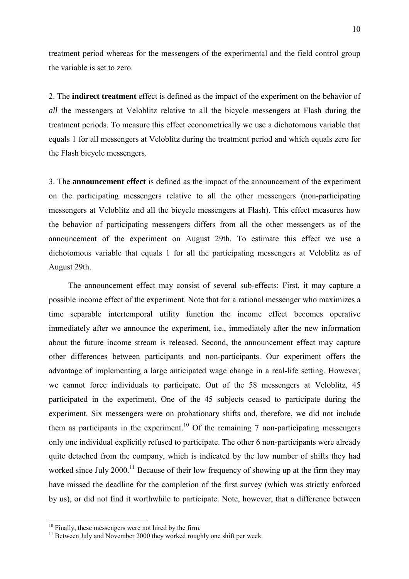treatment period whereas for the messengers of the experimental and the field control group the variable is set to zero.

2. The **indirect treatment** effect is defined as the impact of the experiment on the behavior of *all* the messengers at Veloblitz relative to all the bicycle messengers at Flash during the treatment periods. To measure this effect econometrically we use a dichotomous variable that equals 1 for all messengers at Veloblitz during the treatment period and which equals zero for the Flash bicycle messengers.

3. The **announcement effect** is defined as the impact of the announcement of the experiment on the participating messengers relative to all the other messengers (non-participating messengers at Veloblitz and all the bicycle messengers at Flash). This effect measures how the behavior of participating messengers differs from all the other messengers as of the announcement of the experiment on August 29th. To estimate this effect we use a dichotomous variable that equals 1 for all the participating messengers at Veloblitz as of August 29th.

The announcement effect may consist of several sub-effects: First, it may capture a possible income effect of the experiment. Note that for a rational messenger who maximizes a time separable intertemporal utility function the income effect becomes operative immediately after we announce the experiment, i.e., immediately after the new information about the future income stream is released. Second, the announcement effect may capture other differences between participants and non-participants. Our experiment offers the advantage of implementing a large anticipated wage change in a real-life setting. However, we cannot force individuals to participate. Out of the 58 messengers at Veloblitz, 45 participated in the experiment. One of the 45 subjects ceased to participate during the experiment. Six messengers were on probationary shifts and, therefore, we did not include them as participants in the experiment.<sup>10</sup> Of the remaining 7 non-participating messengers only one individual explicitly refused to participate. The other 6 non-participants were already quite detached from the company, which is indicated by the low number of shifts they had worked since July 2000.<sup>11</sup> Because of their low frequency of showing up at the firm they may have missed the deadline for the completion of the first survey (which was strictly enforced by us), or did not find it worthwhile to participate. Note, however, that a difference between

 $10$  Finally, these messengers were not hired by the firm.

<sup>&</sup>lt;sup>11</sup> Between July and November 2000 they worked roughly one shift per week.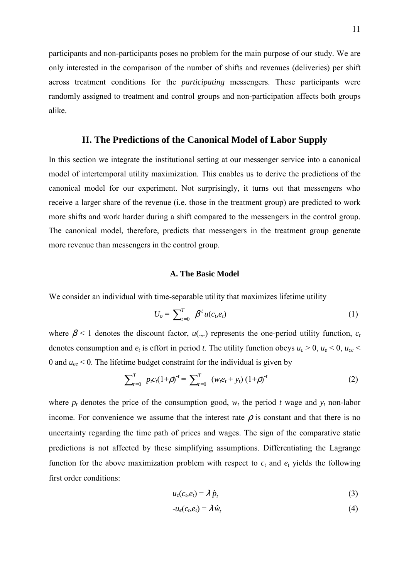participants and non-participants poses no problem for the main purpose of our study. We are only interested in the comparison of the number of shifts and revenues (deliveries) per shift across treatment conditions for the *participating* messengers. These participants were randomly assigned to treatment and control groups and non-participation affects both groups alike.

### **II. The Predictions of the Canonical Model of Labor Supply**

In this section we integrate the institutional setting at our messenger service into a canonical model of intertemporal utility maximization. This enables us to derive the predictions of the canonical model for our experiment. Not surprisingly, it turns out that messengers who receive a larger share of the revenue (i.e. those in the treatment group) are predicted to work more shifts and work harder during a shift compared to the messengers in the control group. The canonical model, therefore, predicts that messengers in the treatment group generate more revenue than messengers in the control group.

### **A. The Basic Model**

We consider an individual with time-separable utility that maximizes lifetime utility

$$
U_o = \sum_{t=0}^{T} \beta^t u(c_t, e_t) \tag{1}
$$

where  $\beta$  < 1 denotes the discount factor,  $u(.,.)$  represents the one-period utility function,  $c_t$ denotes consumption and  $e_t$  is effort in period *t*. The utility function obeys  $u_c > 0$ ,  $u_e < 0$ ,  $u_{cc} <$ 0 and *uee* < 0. The lifetime budget constraint for the individual is given by

$$
\sum_{t=0}^{T} p_t c_t (1+\rho)^{-t} = \sum_{t=0}^{T} (w_t e_t + y_t) (1+\rho)^{-t}
$$
 (2)

where  $p_t$  denotes the price of the consumption good,  $w_t$  the period *t* wage and  $y_t$  non-labor income. For convenience we assume that the interest rate  $\rho$  is constant and that there is no uncertainty regarding the time path of prices and wages. The sign of the comparative static predictions is not affected by these simplifying assumptions. Differentiating the Lagrange function for the above maximization problem with respect to  $c_t$  and  $e_t$  yields the following first order conditions:

$$
u_c(c_b e_t) = \lambda \hat{p}_t \tag{3}
$$

$$
-u_e(c_t, e_t) = \lambda \,\hat{w}_t \tag{4}
$$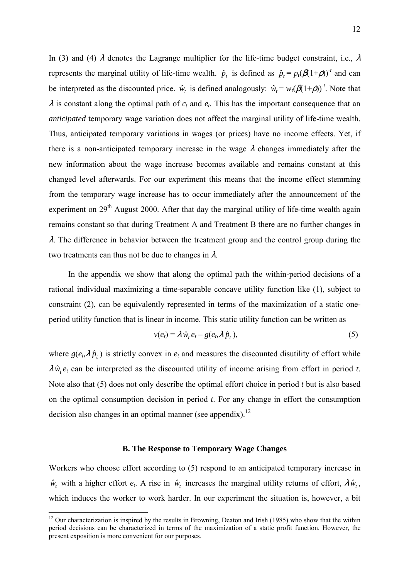In (3) and (4)  $\lambda$  denotes the Lagrange multiplier for the life-time budget constraint, i.e.,  $\lambda$ represents the marginal utility of life-time wealth.  $\hat{p}_t$  is defined as  $\hat{p}_t = p_t(\beta(1+\rho))^t$  and can be interpreted as the discounted price.  $\hat{w}_t$  is defined analogously:  $\hat{w}_t = w_t(\beta(1+\rho))^t$ . Note that  $\lambda$  is constant along the optimal path of  $c_t$  and  $e_t$ . This has the important consequence that an *anticipated* temporary wage variation does not affect the marginal utility of life-time wealth. Thus, anticipated temporary variations in wages (or prices) have no income effects. Yet, if there is a non-anticipated temporary increase in the wage  $\lambda$  changes immediately after the new information about the wage increase becomes available and remains constant at this changed level afterwards. For our experiment this means that the income effect stemming from the temporary wage increase has to occur immediately after the announcement of the experiment on 29<sup>th</sup> August 2000. After that day the marginal utility of life-time wealth again remains constant so that during Treatment A and Treatment B there are no further changes in  $\lambda$ . The difference in behavior between the treatment group and the control group during the two treatments can thus not be due to changes in  $\lambda$ .

In the appendix we show that along the optimal path the within-period decisions of a rational individual maximizing a time-separable concave utility function like (1), subject to constraint (2), can be equivalently represented in terms of the maximization of a static oneperiod utility function that is linear in income. This static utility function can be written as

$$
v(e_t) = \lambda \,\hat{w}_t \, e_t - g(e_t \lambda \,\hat{p}_t),\tag{5}
$$

where  $g(e_t, \lambda \hat{p}_t)$  is strictly convex in  $e_t$  and measures the discounted disutility of effort while  $\lambda \hat{w}_t e_t$  can be interpreted as the discounted utility of income arising from effort in period *t*. Note also that (5) does not only describe the optimal effort choice in period *t* but is also based on the optimal consumption decision in period *t*. For any change in effort the consumption decision also changes in an optimal manner (see appendix).<sup>12</sup>

### **B. The Response to Temporary Wage Changes**

Workers who choose effort according to (5) respond to an anticipated temporary increase in  $\hat{w}_t$  with a higher effort  $e_t$ . A rise in  $\hat{w}_t$  increases the marginal utility returns of effort,  $\lambda \hat{w}_t$ , which induces the worker to work harder. In our experiment the situation is, however, a bit

<sup>&</sup>lt;sup>12</sup> Our characterization is inspired by the results in Browning, Deaton and Irish (1985) who show that the within period decisions can be characterized in terms of the maximization of a static profit function. However, the present exposition is more convenient for our purposes.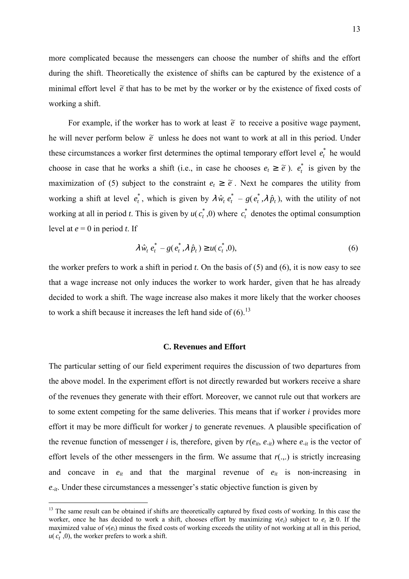more complicated because the messengers can choose the number of shifts and the effort during the shift. Theoretically the existence of shifts can be captured by the existence of a minimal effort level  $\tilde{e}$  that has to be met by the worker or by the existence of fixed costs of working a shift.

For example, if the worker has to work at least  $\tilde{e}$  to receive a positive wage payment, he will never perform below  $\tilde{e}$  unless he does not want to work at all in this period. Under these circumstances a worker first determines the optimal temporary effort level  $e_t^*$  he would choose in case that he works a shift (i.e., in case he chooses  $e_t \geq \tilde{e}$ ).  $e_t^*$  is given by the maximization of (5) subject to the constraint  $e_t \geq \tilde{e}$ . Next he compares the utility from working a shift at level  $e_t^*$ , which is given by  $\lambda \hat{w}_t e_t^* - g(e_t^*, \lambda \hat{p}_t)$ , with the utility of not working at all in period *t*. This is given by  $u(c_t^*, 0)$  where  $c_t^*$  denotes the optimal consumption level at  $e = 0$  in period  $t$ . If

$$
\lambda \,\hat{w}_t \, e_t^* - g(e_t^*, \lambda \,\hat{p}_t) \ge u(c_t^*, 0), \tag{6}
$$

the worker prefers to work a shift in period *t*. On the basis of (5) and (6), it is now easy to see that a wage increase not only induces the worker to work harder, given that he has already decided to work a shift. The wage increase also makes it more likely that the worker chooses to work a shift because it increases the left hand side of  $(6)$ .<sup>13</sup>

### **C. Revenues and Effort**

The particular setting of our field experiment requires the discussion of two departures from the above model. In the experiment effort is not directly rewarded but workers receive a share of the revenues they generate with their effort. Moreover, we cannot rule out that workers are to some extent competing for the same deliveries. This means that if worker *i* provides more effort it may be more difficult for worker *j* to generate revenues. A plausible specification of the revenue function of messenger *i* is, therefore, given by  $r(e_{it}, e_{-it})$  where  $e_{-it}$  is the vector of effort levels of the other messengers in the firm. We assume that  $r(.,.)$  is strictly increasing and concave in  $e_{it}$  and that the marginal revenue of  $e_{it}$  is non-increasing in *e-it*. Under these circumstances a messenger's static objective function is given by

<sup>&</sup>lt;sup>13</sup> The same result can be obtained if shifts are theoretically captured by fixed costs of working. In this case the worker, once he has decided to work a shift, chooses effort by maximizing  $v(e_t)$  subject to  $e_t \ge 0$ . If the maximized value of  $v(e_t)$  minus the fixed costs of working exceeds the utility of not working at all in this period,  $u(c_t^*, 0)$ , the worker prefers to work a shift.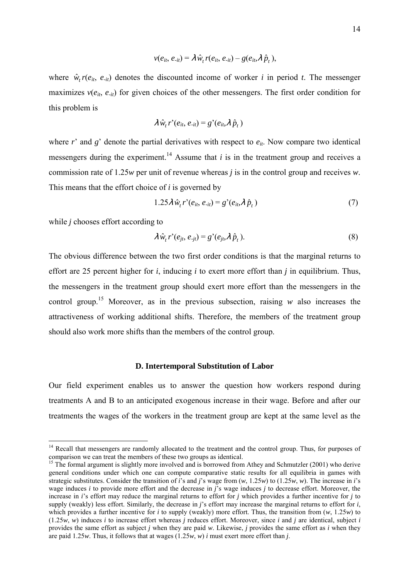$$
v(e_{it}, e_{-it}) = \lambda \,\hat{w}_t \, r(e_{it}, e_{-it}) - g(e_{it}, \lambda \,\hat{p}_t),
$$

where  $\hat{w}_r(r(e_{it}, e_{it})$  denotes the discounted income of worker *i* in period *t*. The messenger maximizes  $v(e_{it}, e_{it})$  for given choices of the other messengers. The first order condition for this problem is

$$
\lambda \hat{w}_t r' (e_{it}, e_{-it}) = g' (e_{it}, \lambda \hat{p}_t)
$$

where  $r'$  and  $g'$  denote the partial derivatives with respect to  $e_{it}$ . Now compare two identical messengers during the experiment.<sup>14</sup> Assume that  $i$  is in the treatment group and receives a commission rate of 1.25*w* per unit of revenue whereas *j* is in the control group and receives *w*. This means that the effort choice of *i* is governed by

$$
1.25\lambda \,\hat{w}_t \, r^{\prime} (e_{it}, e_{\text{-}it}) = g^{\prime} (e_{it}, \lambda \,\hat{p}_t) \tag{7}
$$

while *j* chooses effort according to

 $\overline{a}$ 

$$
\lambda \,\hat{w}_t \, r' (e_{jt}, \, e_{jt}) = g'(e_{jt}, \lambda \,\hat{p}_t). \tag{8}
$$

The obvious difference between the two first order conditions is that the marginal returns to effort are 25 percent higher for *i*, inducing *i* to exert more effort than *j* in equilibrium. Thus, the messengers in the treatment group should exert more effort than the messengers in the control group.<sup>15</sup> Moreover, as in the previous subsection, raising *w* also increases the attractiveness of working additional shifts. Therefore, the members of the treatment group should also work more shifts than the members of the control group.

### **D. Intertemporal Substitution of Labor**

Our field experiment enables us to answer the question how workers respond during treatments A and B to an anticipated exogenous increase in their wage. Before and after our treatments the wages of the workers in the treatment group are kept at the same level as the

<sup>&</sup>lt;sup>14</sup> Recall that messengers are randomly allocated to the treatment and the control group. Thus, for purposes of comparison we can treat the members of these two groups as identical.

<sup>&</sup>lt;sup>15</sup> The formal argument is slightly more involved and is borrowed from Athey and Schmutzler (2001) who derive general conditions under which one can compute comparative static results for all equilibria in games with strategic substitutes. Consider the transition of *i*'s and *j*'s wage from (*w*, 1.25*w*) to (1.25*w*, *w*). The increase in *i*'s wage induces *i* to provide more effort and the decrease in *j*'s wage induces *j* to decrease effort. Moreover, the increase in *i*'s effort may reduce the marginal returns to effort for *j* which provides a further incentive for *j* to supply (weakly) less effort. Similarly, the decrease in *j*'s effort may increase the marginal returns to effort for *i*, which provides a further incentive for *i* to supply (weakly) more effort. Thus, the transition from  $(w, 1.25w)$  to  $(1.25*w*, *w*)$  induces *i* to increase effort whereas *j* reduces effort. Moreover, since *i* and *j* are identical, subject *i* provides the same effort as subject *j* when they are paid *w*. Likewise, *j* provides the same effort as *i* when they are paid 1.25*w*. Thus, it follows that at wages (1.25*w*, *w*) *i* must exert more effort than *j*.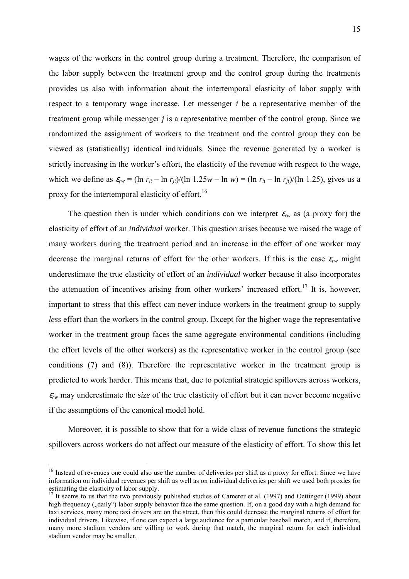wages of the workers in the control group during a treatment. Therefore, the comparison of the labor supply between the treatment group and the control group during the treatments provides us also with information about the intertemporal elasticity of labor supply with respect to a temporary wage increase. Let messenger *i* be a representative member of the treatment group while messenger *j* is a representative member of the control group. Since we randomized the assignment of workers to the treatment and the control group they can be viewed as (statistically) identical individuals. Since the revenue generated by a worker is strictly increasing in the worker's effort, the elasticity of the revenue with respect to the wage, which we define as  $\varepsilon_{rw} = (\ln r_{it} - \ln r_{it})/(\ln 1.25w - \ln w) = (\ln r_{it} - \ln r_{it})/(\ln 1.25)$ , gives us a proxy for the intertemporal elasticity of effort.<sup>16</sup>

The question then is under which conditions can we interpret  $\varepsilon_{rw}$  as (a proxy for) the elasticity of effort of an *individual* worker. This question arises because we raised the wage of many workers during the treatment period and an increase in the effort of one worker may decrease the marginal returns of effort for the other workers. If this is the case  $\varepsilon_{rw}$  might underestimate the true elasticity of effort of an *individual* worker because it also incorporates the attenuation of incentives arising from other workers' increased effort.<sup>17</sup> It is, however, important to stress that this effect can never induce workers in the treatment group to supply *less* effort than the workers in the control group. Except for the higher wage the representative worker in the treatment group faces the same aggregate environmental conditions (including the effort levels of the other workers) as the representative worker in the control group (see conditions (7) and (8)). Therefore the representative worker in the treatment group is predicted to work harder. This means that, due to potential strategic spillovers across workers, <sup>ε</sup>*rw* may underestimate the *size* of the true elasticity of effort but it can never become negative if the assumptions of the canonical model hold.

Moreover, it is possible to show that for a wide class of revenue functions the strategic spillovers across workers do not affect our measure of the elasticity of effort. To show this let

<sup>&</sup>lt;sup>16</sup> Instead of revenues one could also use the number of deliveries per shift as a proxy for effort. Since we have information on individual revenues per shift as well as on individual deliveries per shift we used both proxies for estimating the elasticity of labor supply.

<sup>&</sup>lt;sup>17</sup> It seems to us that the two previously published studies of Camerer et al. (1997) and Oettinger (1999) about  $\frac{1}{2}$ high frequency ("daily") labor supply behavior face the same question. If, on a good day with a high demand for taxi services, many more taxi drivers are on the street, then this could decrease the marginal returns of effort for individual drivers. Likewise, if one can expect a large audience for a particular baseball match, and if, therefore, many more stadium vendors are willing to work during that match, the marginal return for each individual stadium vendor may be smaller.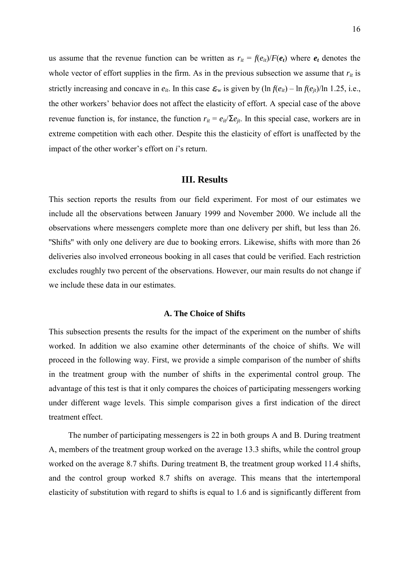us assume that the revenue function can be written as  $r_{it} = f(e_{it})/F(e_t)$  where  $e_t$  denotes the whole vector of effort supplies in the firm. As in the previous subsection we assume that  $r_{it}$  is strictly increasing and concave in  $e_{it}$ . In this case  $\varepsilon_{rw}$  is given by  $(\ln f(e_{it}) - \ln f(e_{it})/\ln 1.25$ , i.e., the other workers' behavior does not affect the elasticity of effort. A special case of the above revenue function is, for instance, the function  $r_{it} = e_{it}/\sum e_{it}$ . In this special case, workers are in extreme competition with each other. Despite this the elasticity of effort is unaffected by the impact of the other worker's effort on *i*'s return.

### **III. Results**

This section reports the results from our field experiment. For most of our estimates we include all the observations between January 1999 and November 2000. We include all the observations where messengers complete more than one delivery per shift, but less than 26. ''Shifts'' with only one delivery are due to booking errors. Likewise, shifts with more than 26 deliveries also involved erroneous booking in all cases that could be verified. Each restriction excludes roughly two percent of the observations. However, our main results do not change if we include these data in our estimates.

### **A. The Choice of Shifts**

This subsection presents the results for the impact of the experiment on the number of shifts worked. In addition we also examine other determinants of the choice of shifts. We will proceed in the following way. First, we provide a simple comparison of the number of shifts in the treatment group with the number of shifts in the experimental control group. The advantage of this test is that it only compares the choices of participating messengers working under different wage levels. This simple comparison gives a first indication of the direct treatment effect.

The number of participating messengers is 22 in both groups A and B. During treatment A, members of the treatment group worked on the average 13.3 shifts, while the control group worked on the average 8.7 shifts. During treatment B, the treatment group worked 11.4 shifts, and the control group worked 8.7 shifts on average. This means that the intertemporal elasticity of substitution with regard to shifts is equal to 1.6 and is significantly different from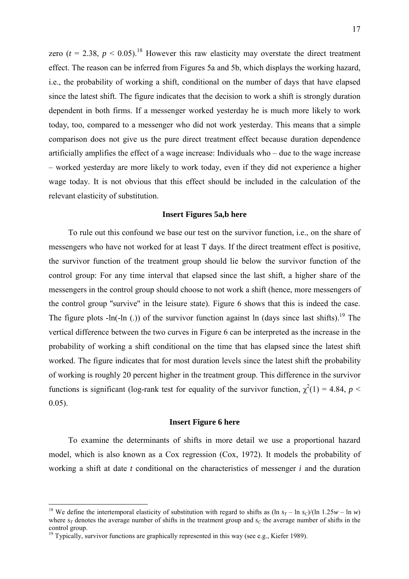zero ( $t = 2.38$ ,  $p \le 0.05$ ).<sup>18</sup> However this raw elasticity may overstate the direct treatment effect. The reason can be inferred from Figures 5a and 5b, which displays the working hazard, i.e., the probability of working a shift, conditional on the number of days that have elapsed since the latest shift. The figure indicates that the decision to work a shift is strongly duration dependent in both firms. If a messenger worked yesterday he is much more likely to work today, too, compared to a messenger who did not work yesterday. This means that a simple comparison does not give us the pure direct treatment effect because duration dependence artificially amplifies the effect of a wage increase: Individuals who – due to the wage increase – worked yesterday are more likely to work today, even if they did not experience a higher wage today. It is not obvious that this effect should be included in the calculation of the relevant elasticity of substitution.

### **Insert Figures 5a,b here**

To rule out this confound we base our test on the survivor function, i.e., on the share of messengers who have not worked for at least T days. If the direct treatment effect is positive, the survivor function of the treatment group should lie below the survivor function of the control group: For any time interval that elapsed since the last shift, a higher share of the messengers in the control group should choose to not work a shift (hence, more messengers of the control group ''survive'' in the leisure state). Figure 6 shows that this is indeed the case. The figure plots  $-In(-ln (.))$  of the survivor function against ln (days since last shifts).<sup>19</sup> The vertical difference between the two curves in Figure 6 can be interpreted as the increase in the probability of working a shift conditional on the time that has elapsed since the latest shift worked. The figure indicates that for most duration levels since the latest shift the probability of working is roughly 20 percent higher in the treatment group. This difference in the survivor functions is significant (log-rank test for equality of the survivor function,  $\chi^2(1) = 4.84$ ,  $p <$ 0.05).

### **Insert Figure 6 here**

To examine the determinants of shifts in more detail we use a proportional hazard model, which is also known as a Cox regression (Cox, 1972). It models the probability of working a shift at date *t* conditional on the characteristics of messenger *i* and the duration

<sup>&</sup>lt;sup>18</sup> We define the intertemporal elasticity of substitution with regard to shifts as  $(\ln s_T - \ln s_C)/(\ln 1.25w - \ln w)$ where  $s_T$  denotes the average number of shifts in the treatment group and  $s_C$  the average number of shifts in the control group.

<sup>&</sup>lt;sup>19</sup> Typically, survivor functions are graphically represented in this way (see e.g., Kiefer 1989).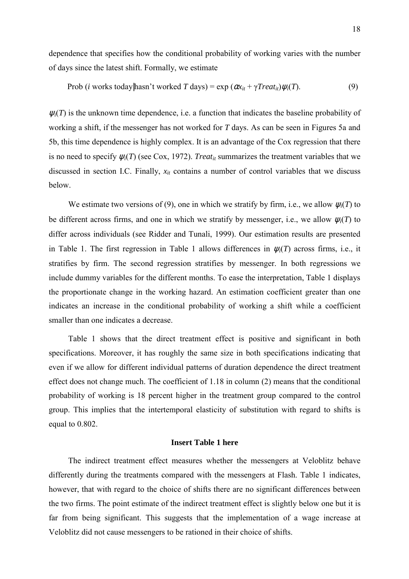dependence that specifies how the conditional probability of working varies with the number of days since the latest shift. Formally, we estimate

$$
Prob (i works today | hasn't worked T days) = exp (\alpha x_{it} + \gamma Treat_{it}) \psi_i(T). \tag{9}
$$

 $\psi_i(T)$  is the unknown time dependence, i.e. a function that indicates the baseline probability of working a shift, if the messenger has not worked for *T* days. As can be seen in Figures 5a and 5b, this time dependence is highly complex. It is an advantage of the Cox regression that there is no need to specify  $\psi_i(T)$  (see Cox, 1972). *Treat<sub>it</sub>* summarizes the treatment variables that we discussed in section I.C. Finally,  $x_{it}$  contains a number of control variables that we discuss below.

We estimate two versions of (9), one in which we stratify by firm, i.e., we allow  $\psi_i(T)$  to be different across firms, and one in which we stratify by messenger, i.e., we allow  $\psi_i(T)$  to differ across individuals (see Ridder and Tunali, 1999). Our estimation results are presented in Table 1. The first regression in Table 1 allows differences in  $\psi_i(T)$  across firms, i.e., it stratifies by firm. The second regression stratifies by messenger. In both regressions we include dummy variables for the different months. To ease the interpretation, Table 1 displays the proportionate change in the working hazard. An estimation coefficient greater than one indicates an increase in the conditional probability of working a shift while a coefficient smaller than one indicates a decrease.

Table 1 shows that the direct treatment effect is positive and significant in both specifications. Moreover, it has roughly the same size in both specifications indicating that even if we allow for different individual patterns of duration dependence the direct treatment effect does not change much. The coefficient of 1.18 in column (2) means that the conditional probability of working is 18 percent higher in the treatment group compared to the control group. This implies that the intertemporal elasticity of substitution with regard to shifts is equal to 0.802.

### **Insert Table 1 here**

The indirect treatment effect measures whether the messengers at Veloblitz behave differently during the treatments compared with the messengers at Flash. Table 1 indicates, however, that with regard to the choice of shifts there are no significant differences between the two firms. The point estimate of the indirect treatment effect is slightly below one but it is far from being significant. This suggests that the implementation of a wage increase at Veloblitz did not cause messengers to be rationed in their choice of shifts.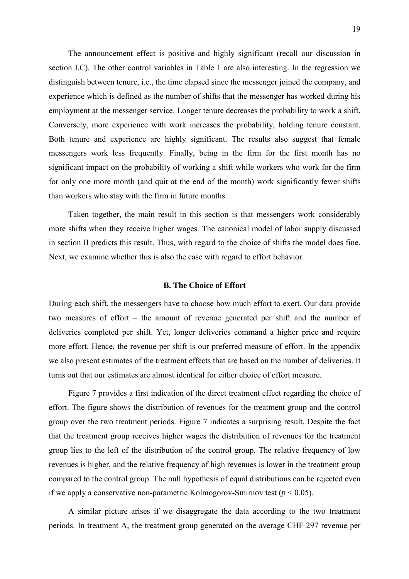The announcement effect is positive and highly significant (recall our discussion in section I.C). The other control variables in Table 1 are also interesting. In the regression we distinguish between tenure, i.e., the time elapsed since the messenger joined the company, and experience which is defined as the number of shifts that the messenger has worked during his employment at the messenger service. Longer tenure decreases the probability to work a shift. Conversely, more experience with work increases the probability, holding tenure constant. Both tenure and experience are highly significant. The results also suggest that female messengers work less frequently. Finally, being in the firm for the first month has no significant impact on the probability of working a shift while workers who work for the firm for only one more month (and quit at the end of the month) work significantly fewer shifts than workers who stay with the firm in future months.

Taken together, the main result in this section is that messengers work considerably more shifts when they receive higher wages. The canonical model of labor supply discussed in section II predicts this result. Thus, with regard to the choice of shifts the model does fine. Next, we examine whether this is also the case with regard to effort behavior.

### **B. The Choice of Effort**

During each shift, the messengers have to choose how much effort to exert. Our data provide two measures of effort – the amount of revenue generated per shift and the number of deliveries completed per shift. Yet, longer deliveries command a higher price and require more effort. Hence, the revenue per shift is our preferred measure of effort. In the appendix we also present estimates of the treatment effects that are based on the number of deliveries. It turns out that our estimates are almost identical for either choice of effort measure.

Figure 7 provides a first indication of the direct treatment effect regarding the choice of effort. The figure shows the distribution of revenues for the treatment group and the control group over the two treatment periods. Figure 7 indicates a surprising result. Despite the fact that the treatment group receives higher wages the distribution of revenues for the treatment group lies to the left of the distribution of the control group. The relative frequency of low revenues is higher, and the relative frequency of high revenues is lower in the treatment group compared to the control group. The null hypothesis of equal distributions can be rejected even if we apply a conservative non-parametric Kolmogorov-Smirnov test ( $p < 0.05$ ).

A similar picture arises if we disaggregate the data according to the two treatment periods. In treatment A, the treatment group generated on the average CHF 297 revenue per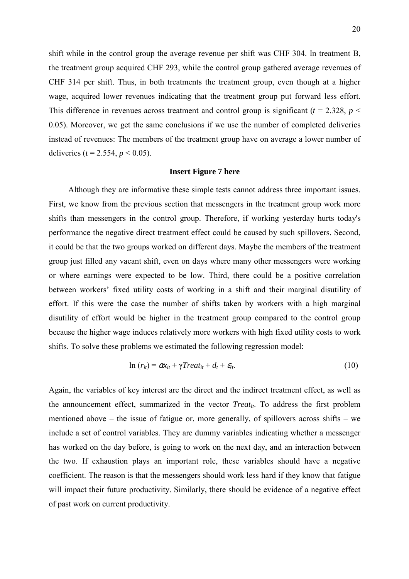shift while in the control group the average revenue per shift was CHF 304. In treatment B, the treatment group acquired CHF 293, while the control group gathered average revenues of CHF 314 per shift. Thus, in both treatments the treatment group, even though at a higher wage, acquired lower revenues indicating that the treatment group put forward less effort. This difference in revenues across treatment and control group is significant ( $t = 2.328$ ,  $p <$ 0.05). Moreover, we get the same conclusions if we use the number of completed deliveries instead of revenues: The members of the treatment group have on average a lower number of deliveries ( $t = 2.554$ ,  $p < 0.05$ ).

### **Insert Figure 7 here**

Although they are informative these simple tests cannot address three important issues. First, we know from the previous section that messengers in the treatment group work more shifts than messengers in the control group. Therefore, if working yesterday hurts today's performance the negative direct treatment effect could be caused by such spillovers. Second, it could be that the two groups worked on different days. Maybe the members of the treatment group just filled any vacant shift, even on days where many other messengers were working or where earnings were expected to be low. Third, there could be a positive correlation between workers' fixed utility costs of working in a shift and their marginal disutility of effort. If this were the case the number of shifts taken by workers with a high marginal disutility of effort would be higher in the treatment group compared to the control group because the higher wage induces relatively more workers with high fixed utility costs to work shifts. To solve these problems we estimated the following regression model:

$$
\ln(r_{it}) = \alpha x_{it} + \gamma Treat_{it} + d_t + \varepsilon_{it}. \tag{10}
$$

Again, the variables of key interest are the direct and the indirect treatment effect, as well as the announcement effect, summarized in the vector  $Treat_{it}$ . To address the first problem mentioned above – the issue of fatigue or, more generally, of spillovers across shifts – we include a set of control variables. They are dummy variables indicating whether a messenger has worked on the day before, is going to work on the next day, and an interaction between the two. If exhaustion plays an important role, these variables should have a negative coefficient. The reason is that the messengers should work less hard if they know that fatigue will impact their future productivity. Similarly, there should be evidence of a negative effect of past work on current productivity.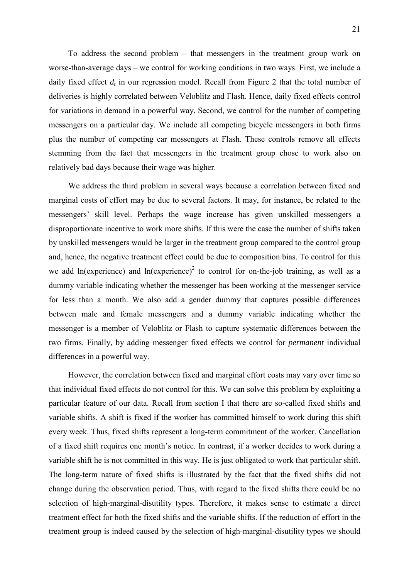To address the second problem – that messengers in the treatment group work on worse-than-average days – we control for working conditions in two ways. First, we include a daily fixed effect  $d_t$  in our regression model. Recall from Figure 2 that the total number of deliveries is highly correlated between Veloblitz and Flash. Hence, daily fixed effects control for variations in demand in a powerful way. Second, we control for the number of competing messengers on a particular day. We include all competing bicycle messengers in both firms plus the number of competing car messengers at Flash. These controls remove all effects stemming from the fact that messengers in the treatment group chose to work also on relatively bad days because their wage was higher.

We address the third problem in several ways because a correlation between fixed and marginal costs of effort may be due to several factors. It may, for instance, be related to the messengers' skill level. Perhaps the wage increase has given unskilled messengers a disproportionate incentive to work more shifts. If this were the case the number of shifts taken by unskilled messengers would be larger in the treatment group compared to the control group and, hence, the negative treatment effect could be due to composition bias. To control for this we add ln(experience) and ln(experience)<sup>2</sup> to control for on-the-job training, as well as a dummy variable indicating whether the messenger has been working at the messenger service for less than a month. We also add a gender dummy that captures possible differences between male and female messengers and a dummy variable indicating whether the messenger is a member of Veloblitz or Flash to capture systematic differences between the two firms. Finally, by adding messenger fixed effects we control for *permanent* individual differences in a powerful way.

However, the correlation between fixed and marginal effort costs may vary over time so that individual fixed effects do not control for this. We can solve this problem by exploiting a particular feature of our data. Recall from section I that there are so-called fixed shifts and variable shifts. A shift is fixed if the worker has committed himself to work during this shift every week. Thus, fixed shifts represent a long-term commitment of the worker. Cancellation of a fixed shift requires one month's notice. In contrast, if a worker decides to work during a variable shift he is not committed in this way. He is just obligated to work that particular shift. The long-term nature of fixed shifts is illustrated by the fact that the fixed shifts did not change during the observation period. Thus, with regard to the fixed shifts there could be no selection of high-marginal-disutility types. Therefore, it makes sense to estimate a direct treatment effect for both the fixed shifts and the variable shifts. If the reduction of effort in the treatment group is indeed caused by the selection of high-marginal-disutility types we should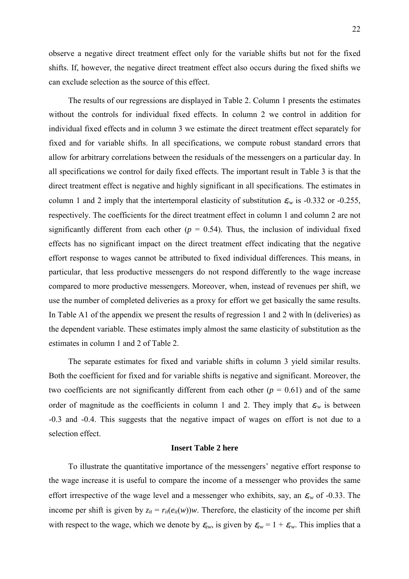observe a negative direct treatment effect only for the variable shifts but not for the fixed shifts. If, however, the negative direct treatment effect also occurs during the fixed shifts we can exclude selection as the source of this effect.

The results of our regressions are displayed in Table 2. Column 1 presents the estimates without the controls for individual fixed effects. In column 2 we control in addition for individual fixed effects and in column 3 we estimate the direct treatment effect separately for fixed and for variable shifts. In all specifications, we compute robust standard errors that allow for arbitrary correlations between the residuals of the messengers on a particular day. In all specifications we control for daily fixed effects. The important result in Table 3 is that the direct treatment effect is negative and highly significant in all specifications. The estimates in column 1 and 2 imply that the intertemporal elasticity of substitution  $\varepsilon_{rw}$  is -0.332 or -0.255, respectively. The coefficients for the direct treatment effect in column 1 and column 2 are not significantly different from each other  $(p = 0.54)$ . Thus, the inclusion of individual fixed effects has no significant impact on the direct treatment effect indicating that the negative effort response to wages cannot be attributed to fixed individual differences. This means, in particular, that less productive messengers do not respond differently to the wage increase compared to more productive messengers. Moreover, when, instead of revenues per shift, we use the number of completed deliveries as a proxy for effort we get basically the same results. In Table A1 of the appendix we present the results of regression 1 and 2 with ln (deliveries) as the dependent variable. These estimates imply almost the same elasticity of substitution as the estimates in column 1 and 2 of Table 2.

The separate estimates for fixed and variable shifts in column 3 yield similar results. Both the coefficient for fixed and for variable shifts is negative and significant. Moreover, the two coefficients are not significantly different from each other  $(p = 0.61)$  and of the same order of magnitude as the coefficients in column 1 and 2. They imply that  $\varepsilon_{rw}$  is between -0.3 and -0.4. This suggests that the negative impact of wages on effort is not due to a selection effect.

### **Insert Table 2 here**

To illustrate the quantitative importance of the messengers' negative effort response to the wage increase it is useful to compare the income of a messenger who provides the same effort irrespective of the wage level and a messenger who exhibits, say, an  $\varepsilon_{rw}$  of -0.33. The income per shift is given by  $z_{it} = r_{it}(e_{it}(w))w$ . Therefore, the elasticity of the income per shift with respect to the wage, which we denote by  $\varepsilon_{zw}$ , is given by  $\varepsilon_{zw} = 1 + \varepsilon_{rw}$ . This implies that a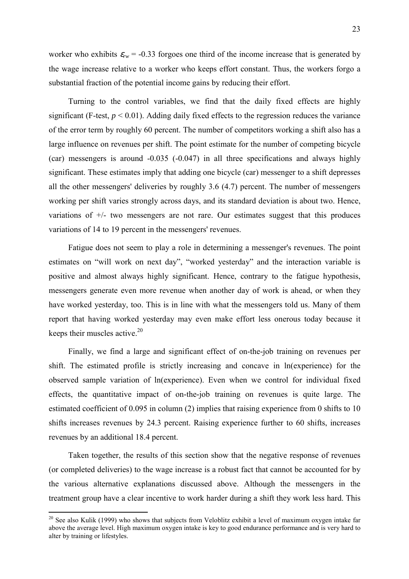worker who exhibits  $\varepsilon_{rw}$  = -0.33 forgoes one third of the income increase that is generated by the wage increase relative to a worker who keeps effort constant. Thus, the workers forgo a substantial fraction of the potential income gains by reducing their effort.

Turning to the control variables, we find that the daily fixed effects are highly significant (F-test,  $p < 0.01$ ). Adding daily fixed effects to the regression reduces the variance of the error term by roughly 60 percent. The number of competitors working a shift also has a large influence on revenues per shift. The point estimate for the number of competing bicycle (car) messengers is around -0.035 (-0.047) in all three specifications and always highly significant. These estimates imply that adding one bicycle (car) messenger to a shift depresses all the other messengers' deliveries by roughly 3.6 (4.7) percent. The number of messengers working per shift varies strongly across days, and its standard deviation is about two. Hence, variations of +/- two messengers are not rare. Our estimates suggest that this produces variations of 14 to 19 percent in the messengers' revenues.

Fatigue does not seem to play a role in determining a messenger's revenues. The point estimates on "will work on next day", "worked yesterday" and the interaction variable is positive and almost always highly significant. Hence, contrary to the fatigue hypothesis, messengers generate even more revenue when another day of work is ahead, or when they have worked yesterday, too. This is in line with what the messengers told us. Many of them report that having worked yesterday may even make effort less onerous today because it keeps their muscles active. $20$ 

Finally, we find a large and significant effect of on-the-job training on revenues per shift. The estimated profile is strictly increasing and concave in ln(experience) for the observed sample variation of ln(experience). Even when we control for individual fixed effects, the quantitative impact of on-the-job training on revenues is quite large. The estimated coefficient of 0.095 in column (2) implies that raising experience from 0 shifts to 10 shifts increases revenues by 24.3 percent. Raising experience further to 60 shifts, increases revenues by an additional 18.4 percent.

Taken together, the results of this section show that the negative response of revenues (or completed deliveries) to the wage increase is a robust fact that cannot be accounted for by the various alternative explanations discussed above. Although the messengers in the treatment group have a clear incentive to work harder during a shift they work less hard. This

<sup>&</sup>lt;sup>20</sup> See also Kulik (1999) who shows that subjects from Veloblitz exhibit a level of maximum oxygen intake far above the average level. High maximum oxygen intake is key to good endurance performance and is very hard to alter by training or lifestyles.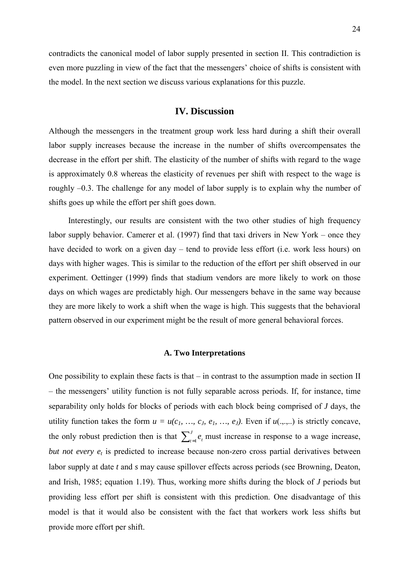contradicts the canonical model of labor supply presented in section II. This contradiction is even more puzzling in view of the fact that the messengers' choice of shifts is consistent with the model. In the next section we discuss various explanations for this puzzle.

### **IV. Discussion**

Although the messengers in the treatment group work less hard during a shift their overall labor supply increases because the increase in the number of shifts overcompensates the decrease in the effort per shift. The elasticity of the number of shifts with regard to the wage is approximately 0.8 whereas the elasticity of revenues per shift with respect to the wage is roughly –0.3. The challenge for any model of labor supply is to explain why the number of shifts goes up while the effort per shift goes down.

Interestingly, our results are consistent with the two other studies of high frequency labor supply behavior. Camerer et al. (1997) find that taxi drivers in New York – once they have decided to work on a given day – tend to provide less effort (i.e. work less hours) on days with higher wages. This is similar to the reduction of the effort per shift observed in our experiment. Oettinger (1999) finds that stadium vendors are more likely to work on those days on which wages are predictably high. Our messengers behave in the same way because they are more likely to work a shift when the wage is high. This suggests that the behavioral pattern observed in our experiment might be the result of more general behavioral forces.

### **A. Two Interpretations**

One possibility to explain these facts is that  $-$  in contrast to the assumption made in section II – the messengers' utility function is not fully separable across periods. If, for instance, time separability only holds for blocks of periods with each block being comprised of *J* days, the utility function takes the form  $u = u(c_1, ..., c_k, e_1, ..., e_J)$ . Even if  $u(., . . .)$  is strictly concave, the only robust prediction then is that  $\sum_{t=1}^{J} e_t$  must increase in response to a wage increase, *but not every*  $e_t$  is predicted to increase because non-zero cross partial derivatives between labor supply at date *t* and *s* may cause spillover effects across periods (see Browning, Deaton, and Irish, 1985; equation 1.19). Thus, working more shifts during the block of *J* periods but providing less effort per shift is consistent with this prediction. One disadvantage of this model is that it would also be consistent with the fact that workers work less shifts but provide more effort per shift.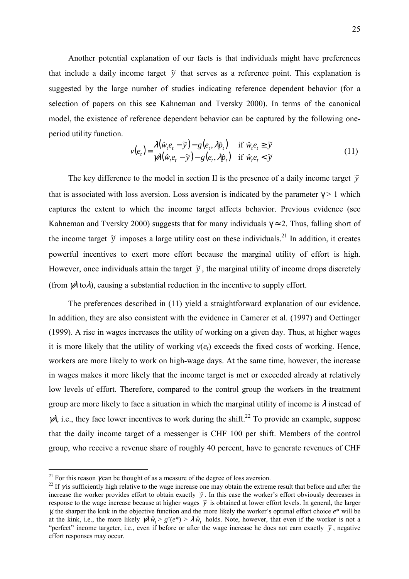Another potential explanation of our facts is that individuals might have preferences that include a daily income target  $\tilde{y}$  that serves as a reference point. This explanation is suggested by the large number of studies indicating reference dependent behavior (for a selection of papers on this see Kahneman and Tversky 2000). In terms of the canonical model, the existence of reference dependent behavior can be captured by the following oneperiod utility function.

$$
v(e_t) = \frac{\lambda(\hat{w}_t e_t - \tilde{y}) - g(e_t, \lambda \hat{p}_t)}{\gamma \lambda(\hat{w}_t e_t - \tilde{y}) - g(e_t, \lambda \hat{p}_t)} \quad \text{if } \hat{w}_t e_t \le \tilde{y}
$$
\n(11)

The key difference to the model in section II is the presence of a daily income target  $\tilde{y}$ that is associated with loss aversion. Loss aversion is indicated by the parameter  $\gamma > 1$  which captures the extent to which the income target affects behavior. Previous evidence (see Kahneman and Tversky 2000) suggests that for many individuals  $\gamma \approx 2$ . Thus, falling short of the income target  $\tilde{y}$  imposes a large utility cost on these individuals.<sup>21</sup> In addition, it creates powerful incentives to exert more effort because the marginal utility of effort is high. However, once individuals attain the target  $\tilde{y}$ , the marginal utility of income drops discretely (from  $\gamma \lambda$  to  $\lambda$ ), causing a substantial reduction in the incentive to supply effort.

The preferences described in (11) yield a straightforward explanation of our evidence. In addition, they are also consistent with the evidence in Camerer et al. (1997) and Oettinger (1999). A rise in wages increases the utility of working on a given day. Thus, at higher wages it is more likely that the utility of working  $v(e_t)$  exceeds the fixed costs of working. Hence, workers are more likely to work on high-wage days. At the same time, however, the increase in wages makes it more likely that the income target is met or exceeded already at relatively low levels of effort. Therefore, compared to the control group the workers in the treatment group are more likely to face a situation in which the marginal utility of income is  $\lambda$  instead of  $\nu$ , i.e., they face lower incentives to work during the shift.<sup>22</sup> To provide an example, suppose that the daily income target of a messenger is CHF 100 per shift. Members of the control group, who receive a revenue share of roughly 40 percent, have to generate revenues of CHF

<sup>&</sup>lt;sup>21</sup> For this reason  $\gamma$  can be thought of as a measure of the degree of loss aversion.<br><sup>22</sup> If  $\gamma$  is sufficiently high relative to the wage increase one may obtain the extreme result that before and after the increase the worker provides effort to obtain exactly  $\tilde{y}$ . In this case the worker's effort obviously decreases in response to the wage increase because at higher wages  $\tilde{y}$  is obtained at lower effort levels. In general, the larger γ*,* the sharper the kink in the objective function and the more likely the worker's optimal effort choice *e*\* will be at the kink, i.e., the more likely  $\gamma \lambda \hat{w}_t > g'(e^*) > \lambda \hat{w}_t$  holds. Note, however, that even if the worker is not a "perfect" income targeter, i.e., even if before or after the wage increase he does not earn exactly  $\tilde{y}$ , negative effort responses may occur.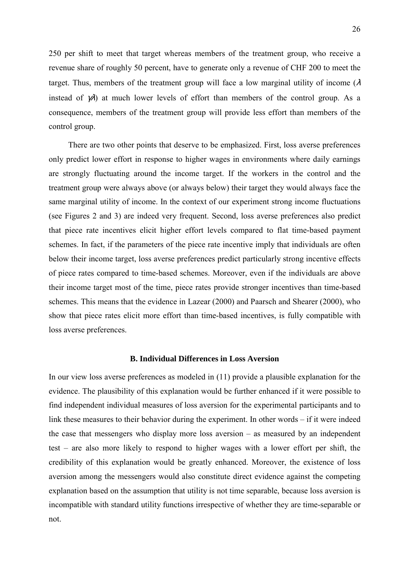250 per shift to meet that target whereas members of the treatment group, who receive a revenue share of roughly 50 percent, have to generate only a revenue of CHF 200 to meet the target. Thus, members of the treatment group will face a low marginal utility of income ( $\lambda$ ) instead of  $\chi$ ) at much lower levels of effort than members of the control group. As a consequence, members of the treatment group will provide less effort than members of the control group.

There are two other points that deserve to be emphasized. First, loss averse preferences only predict lower effort in response to higher wages in environments where daily earnings are strongly fluctuating around the income target. If the workers in the control and the treatment group were always above (or always below) their target they would always face the same marginal utility of income. In the context of our experiment strong income fluctuations (see Figures 2 and 3) are indeed very frequent. Second, loss averse preferences also predict that piece rate incentives elicit higher effort levels compared to flat time-based payment schemes. In fact, if the parameters of the piece rate incentive imply that individuals are often below their income target, loss averse preferences predict particularly strong incentive effects of piece rates compared to time-based schemes. Moreover, even if the individuals are above their income target most of the time, piece rates provide stronger incentives than time-based schemes. This means that the evidence in Lazear (2000) and Paarsch and Shearer (2000), who show that piece rates elicit more effort than time-based incentives, is fully compatible with loss averse preferences.

### **B. Individual Differences in Loss Aversion**

In our view loss averse preferences as modeled in (11) provide a plausible explanation for the evidence. The plausibility of this explanation would be further enhanced if it were possible to find independent individual measures of loss aversion for the experimental participants and to link these measures to their behavior during the experiment. In other words – if it were indeed the case that messengers who display more loss aversion – as measured by an independent test – are also more likely to respond to higher wages with a lower effort per shift, the credibility of this explanation would be greatly enhanced. Moreover, the existence of loss aversion among the messengers would also constitute direct evidence against the competing explanation based on the assumption that utility is not time separable, because loss aversion is incompatible with standard utility functions irrespective of whether they are time-separable or not.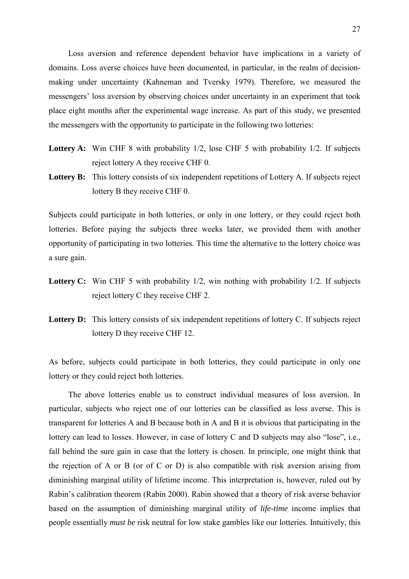Loss aversion and reference dependent behavior have implications in a variety of domains. Loss averse choices have been documented, in particular, in the realm of decisionmaking under uncertainty (Kahneman and Tversky 1979). Therefore, we measured the messengers' loss aversion by observing choices under uncertainty in an experiment that took place eight months after the experimental wage increase. As part of this study, we presented the messengers with the opportunity to participate in the following two lotteries:

- Lottery A: Win CHF 8 with probability 1/2, lose CHF 5 with probability 1/2. If subjects reject lottery A they receive CHF 0.
- Lottery B: This lottery consists of six independent repetitions of Lottery A. If subjects reject lottery B they receive CHF 0.

Subjects could participate in both lotteries, or only in one lottery, or they could reject both lotteries. Before paying the subjects three weeks later, we provided them with another opportunity of participating in two lotteries. This time the alternative to the lottery choice was a sure gain.

- Lottery C: Win CHF 5 with probability 1/2, win nothing with probability 1/2. If subjects reject lottery C they receive CHF 2.
- Lottery **D:** This lottery consists of six independent repetitions of lottery C. If subjects reject lottery D they receive CHF 12.

As before, subjects could participate in both lotteries, they could participate in only one lottery or they could reject both lotteries.

The above lotteries enable us to construct individual measures of loss aversion. In particular, subjects who reject one of our lotteries can be classified as loss averse. This is transparent for lotteries A and B because both in A and B it is obvious that participating in the lottery can lead to losses. However, in case of lottery C and D subjects may also "lose", i.e., fall behind the sure gain in case that the lottery is chosen. In principle, one might think that the rejection of A or B (or of C or D) is also compatible with risk aversion arising from diminishing marginal utility of lifetime income. This interpretation is, however, ruled out by Rabin's calibration theorem (Rabin 2000). Rabin showed that a theory of risk averse behavior based on the assumption of diminishing marginal utility of *life-time* income implies that people essentially *must be* risk neutral for low stake gambles like our lotteries. Intuitively, this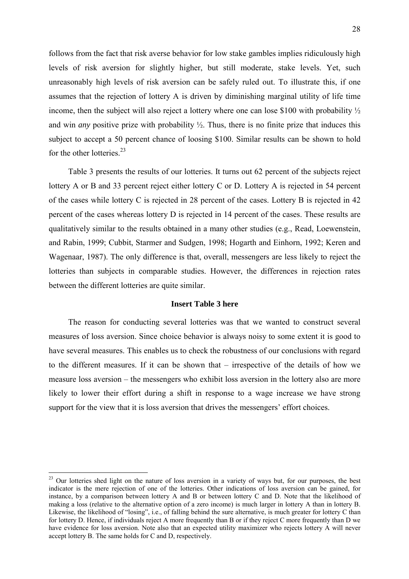follows from the fact that risk averse behavior for low stake gambles implies ridiculously high levels of risk aversion for slightly higher, but still moderate, stake levels. Yet, such unreasonably high levels of risk aversion can be safely ruled out. To illustrate this, if one assumes that the rejection of lottery A is driven by diminishing marginal utility of life time income, then the subject will also reject a lottery where one can lose \$100 with probability ½ and win *any* positive prize with probability ½. Thus, there is no finite prize that induces this subject to accept a 50 percent chance of loosing \$100. Similar results can be shown to hold for the other lotteries  $^{23}$ 

Table 3 presents the results of our lotteries. It turns out 62 percent of the subjects reject lottery A or B and 33 percent reject either lottery C or D. Lottery A is rejected in 54 percent of the cases while lottery C is rejected in 28 percent of the cases. Lottery B is rejected in 42 percent of the cases whereas lottery D is rejected in 14 percent of the cases. These results are qualitatively similar to the results obtained in a many other studies (e.g., Read, Loewenstein, and Rabin, 1999; Cubbit, Starmer and Sudgen, 1998; Hogarth and Einhorn, 1992; Keren and Wagenaar, 1987). The only difference is that, overall, messengers are less likely to reject the lotteries than subjects in comparable studies. However, the differences in rejection rates between the different lotteries are quite similar.

### **Insert Table 3 here**

The reason for conducting several lotteries was that we wanted to construct several measures of loss aversion. Since choice behavior is always noisy to some extent it is good to have several measures. This enables us to check the robustness of our conclusions with regard to the different measures. If it can be shown that – irrespective of the details of how we measure loss aversion – the messengers who exhibit loss aversion in the lottery also are more likely to lower their effort during a shift in response to a wage increase we have strong support for the view that it is loss aversion that drives the messengers' effort choices.

<sup>&</sup>lt;sup>23</sup> Our lotteries shed light on the nature of loss aversion in a variety of ways but, for our purposes, the best indicator is the mere rejection of one of the lotteries. Other indications of loss aversion can be gained, for instance, by a comparison between lottery A and B or between lottery C and D. Note that the likelihood of making a loss (relative to the alternative option of a zero income) is much larger in lottery A than in lottery B. Likewise, the likelihood of "losing", i.e., of falling behind the sure alternative, is much greater for lottery C than for lottery D. Hence, if individuals reject A more frequently than B or if they reject C more frequently than D we have evidence for loss aversion. Note also that an expected utility maximizer who rejects lottery A will never accept lottery B. The same holds for C and D, respectively.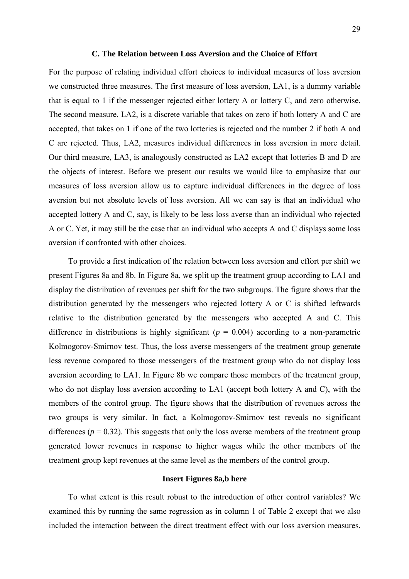### **C. The Relation between Loss Aversion and the Choice of Effort**

For the purpose of relating individual effort choices to individual measures of loss aversion we constructed three measures. The first measure of loss aversion, LA1, is a dummy variable that is equal to 1 if the messenger rejected either lottery A or lottery C, and zero otherwise. The second measure, LA2, is a discrete variable that takes on zero if both lottery A and C are accepted, that takes on 1 if one of the two lotteries is rejected and the number 2 if both A and C are rejected. Thus, LA2, measures individual differences in loss aversion in more detail. Our third measure, LA3, is analogously constructed as LA2 except that lotteries B and D are the objects of interest. Before we present our results we would like to emphasize that our measures of loss aversion allow us to capture individual differences in the degree of loss aversion but not absolute levels of loss aversion. All we can say is that an individual who accepted lottery A and C, say, is likely to be less loss averse than an individual who rejected A or C. Yet, it may still be the case that an individual who accepts A and C displays some loss aversion if confronted with other choices.

To provide a first indication of the relation between loss aversion and effort per shift we present Figures 8a and 8b. In Figure 8a, we split up the treatment group according to LA1 and display the distribution of revenues per shift for the two subgroups. The figure shows that the distribution generated by the messengers who rejected lottery A or C is shifted leftwards relative to the distribution generated by the messengers who accepted A and C. This difference in distributions is highly significant ( $p = 0.004$ ) according to a non-parametric Kolmogorov-Smirnov test. Thus, the loss averse messengers of the treatment group generate less revenue compared to those messengers of the treatment group who do not display loss aversion according to LA1. In Figure 8b we compare those members of the treatment group, who do not display loss aversion according to LA1 (accept both lottery A and C), with the members of the control group. The figure shows that the distribution of revenues across the two groups is very similar. In fact, a Kolmogorov-Smirnov test reveals no significant differences ( $p = 0.32$ ). This suggests that only the loss averse members of the treatment group generated lower revenues in response to higher wages while the other members of the treatment group kept revenues at the same level as the members of the control group.

### **Insert Figures 8a,b here**

To what extent is this result robust to the introduction of other control variables? We examined this by running the same regression as in column 1 of Table 2 except that we also included the interaction between the direct treatment effect with our loss aversion measures.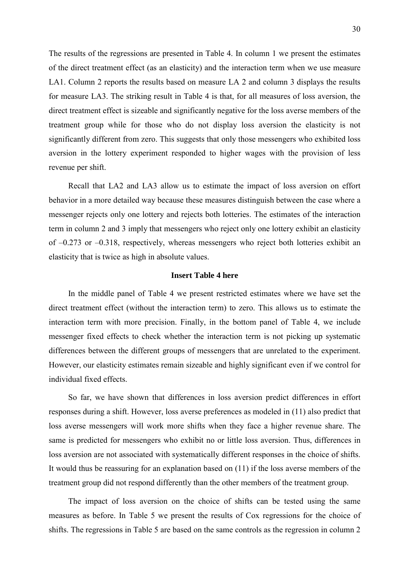The results of the regressions are presented in Table 4. In column 1 we present the estimates of the direct treatment effect (as an elasticity) and the interaction term when we use measure LA1. Column 2 reports the results based on measure LA 2 and column 3 displays the results for measure LA3. The striking result in Table 4 is that, for all measures of loss aversion, the direct treatment effect is sizeable and significantly negative for the loss averse members of the treatment group while for those who do not display loss aversion the elasticity is not significantly different from zero. This suggests that only those messengers who exhibited loss aversion in the lottery experiment responded to higher wages with the provision of less revenue per shift.

Recall that LA2 and LA3 allow us to estimate the impact of loss aversion on effort behavior in a more detailed way because these measures distinguish between the case where a messenger rejects only one lottery and rejects both lotteries. The estimates of the interaction term in column 2 and 3 imply that messengers who reject only one lottery exhibit an elasticity of –0.273 or –0.318, respectively, whereas messengers who reject both lotteries exhibit an elasticity that is twice as high in absolute values.

### **Insert Table 4 here**

In the middle panel of Table 4 we present restricted estimates where we have set the direct treatment effect (without the interaction term) to zero. This allows us to estimate the interaction term with more precision. Finally, in the bottom panel of Table 4, we include messenger fixed effects to check whether the interaction term is not picking up systematic differences between the different groups of messengers that are unrelated to the experiment. However, our elasticity estimates remain sizeable and highly significant even if we control for individual fixed effects.

So far, we have shown that differences in loss aversion predict differences in effort responses during a shift. However, loss averse preferences as modeled in (11) also predict that loss averse messengers will work more shifts when they face a higher revenue share. The same is predicted for messengers who exhibit no or little loss aversion. Thus, differences in loss aversion are not associated with systematically different responses in the choice of shifts. It would thus be reassuring for an explanation based on (11) if the loss averse members of the treatment group did not respond differently than the other members of the treatment group.

The impact of loss aversion on the choice of shifts can be tested using the same measures as before. In Table 5 we present the results of Cox regressions for the choice of shifts. The regressions in Table 5 are based on the same controls as the regression in column 2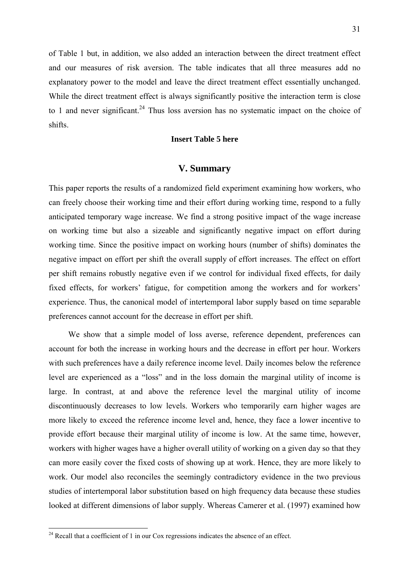of Table 1 but, in addition, we also added an interaction between the direct treatment effect and our measures of risk aversion. The table indicates that all three measures add no explanatory power to the model and leave the direct treatment effect essentially unchanged. While the direct treatment effect is always significantly positive the interaction term is close to 1 and never significant.<sup>24</sup> Thus loss aversion has no systematic impact on the choice of shifts.

### **Insert Table 5 here**

### **V. Summary**

This paper reports the results of a randomized field experiment examining how workers, who can freely choose their working time and their effort during working time, respond to a fully anticipated temporary wage increase. We find a strong positive impact of the wage increase on working time but also a sizeable and significantly negative impact on effort during working time. Since the positive impact on working hours (number of shifts) dominates the negative impact on effort per shift the overall supply of effort increases. The effect on effort per shift remains robustly negative even if we control for individual fixed effects, for daily fixed effects, for workers' fatigue, for competition among the workers and for workers' experience. Thus, the canonical model of intertemporal labor supply based on time separable preferences cannot account for the decrease in effort per shift.

We show that a simple model of loss averse, reference dependent, preferences can account for both the increase in working hours and the decrease in effort per hour. Workers with such preferences have a daily reference income level. Daily incomes below the reference level are experienced as a "loss" and in the loss domain the marginal utility of income is large. In contrast, at and above the reference level the marginal utility of income discontinuously decreases to low levels. Workers who temporarily earn higher wages are more likely to exceed the reference income level and, hence, they face a lower incentive to provide effort because their marginal utility of income is low. At the same time, however, workers with higher wages have a higher overall utility of working on a given day so that they can more easily cover the fixed costs of showing up at work. Hence, they are more likely to work. Our model also reconciles the seemingly contradictory evidence in the two previous studies of intertemporal labor substitution based on high frequency data because these studies looked at different dimensions of labor supply. Whereas Camerer et al. (1997) examined how

 $2<sup>24</sup>$  Recall that a coefficient of 1 in our Cox regressions indicates the absence of an effect.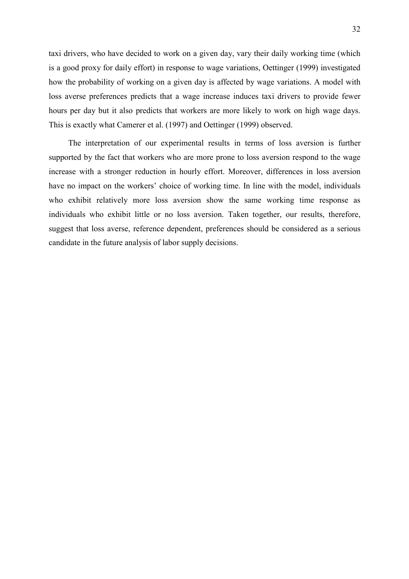taxi drivers, who have decided to work on a given day, vary their daily working time (which is a good proxy for daily effort) in response to wage variations, Oettinger (1999) investigated how the probability of working on a given day is affected by wage variations. A model with loss averse preferences predicts that a wage increase induces taxi drivers to provide fewer hours per day but it also predicts that workers are more likely to work on high wage days. This is exactly what Camerer et al. (1997) and Oettinger (1999) observed.

The interpretation of our experimental results in terms of loss aversion is further supported by the fact that workers who are more prone to loss aversion respond to the wage increase with a stronger reduction in hourly effort. Moreover, differences in loss aversion have no impact on the workers' choice of working time. In line with the model, individuals who exhibit relatively more loss aversion show the same working time response as individuals who exhibit little or no loss aversion. Taken together, our results, therefore, suggest that loss averse, reference dependent, preferences should be considered as a serious candidate in the future analysis of labor supply decisions.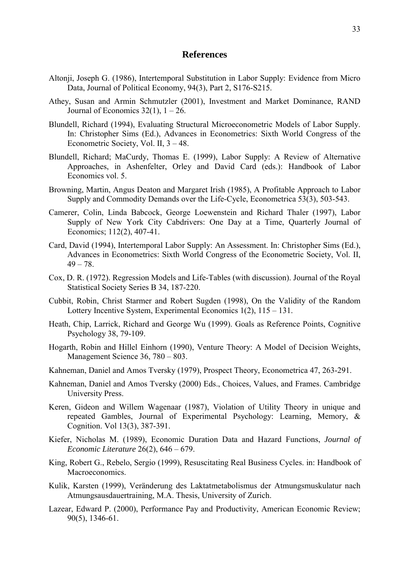### **References**

- Altonji, Joseph G. (1986), Intertemporal Substitution in Labor Supply: Evidence from Micro Data, Journal of Political Economy, 94(3), Part 2, S176-S215.
- Athey, Susan and Armin Schmutzler (2001), Investment and Market Dominance, RAND Journal of Economics  $32(1)$ ,  $1 - 26$ .
- Blundell, Richard (1994), Evaluating Structural Microeconometric Models of Labor Supply. In: Christopher Sims (Ed.), Advances in Econometrics: Sixth World Congress of the Econometric Society, Vol. II, 3 – 48.
- Blundell, Richard; MaCurdy, Thomas E. (1999), Labor Supply: A Review of Alternative Approaches, in Ashenfelter, Orley and David Card (eds.): Handbook of Labor Economics vol. 5.
- Browning, Martin, Angus Deaton and Margaret Irish (1985), A Profitable Approach to Labor Supply and Commodity Demands over the Life-Cycle, Econometrica 53(3), 503-543.
- Camerer, Colin, Linda Babcock, George Loewenstein and Richard Thaler (1997), Labor Supply of New York City Cabdrivers: One Day at a Time, Quarterly Journal of Economics; 112(2), 407-41.
- Card, David (1994), Intertemporal Labor Supply: An Assessment. In: Christopher Sims (Ed.), Advances in Econometrics: Sixth World Congress of the Econometric Society, Vol. II,  $49 - 78.$
- Cox, D. R. (1972). Regression Models and Life-Tables (with discussion). Journal of the Royal Statistical Society Series B 34, 187-220.
- Cubbit, Robin, Christ Starmer and Robert Sugden (1998), On the Validity of the Random Lottery Incentive System, Experimental Economics 1(2), 115 – 131.
- Heath, Chip, Larrick, Richard and George Wu (1999). Goals as Reference Points, Cognitive Psychology 38, 79-109.
- Hogarth, Robin and Hillel Einhorn (1990), Venture Theory: A Model of Decision Weights, Management Science 36, 780 – 803.
- Kahneman, Daniel and Amos Tversky (1979), Prospect Theory, Econometrica 47, 263-291.
- Kahneman, Daniel and Amos Tversky (2000) Eds., Choices, Values, and Frames. Cambridge University Press.
- Keren, Gideon and Willem Wagenaar (1987), Violation of Utility Theory in unique and repeated Gambles, Journal of Experimental Psychology: Learning, Memory, & Cognition. Vol 13(3), 387-391.
- Kiefer, Nicholas M. (1989), Economic Duration Data and Hazard Functions, *Journal of Economic Literature* 26(2), 646 – 679.
- King, Robert G., Rebelo, Sergio (1999), Resuscitating Real Business Cycles. in: Handbook of Macroeconomics.
- Kulik, Karsten (1999), Veränderung des Laktatmetabolismus der Atmungsmuskulatur nach Atmungsausdauertraining, M.A. Thesis, University of Zurich.
- Lazear, Edward P. (2000), Performance Pay and Productivity, American Economic Review; 90(5), 1346-61.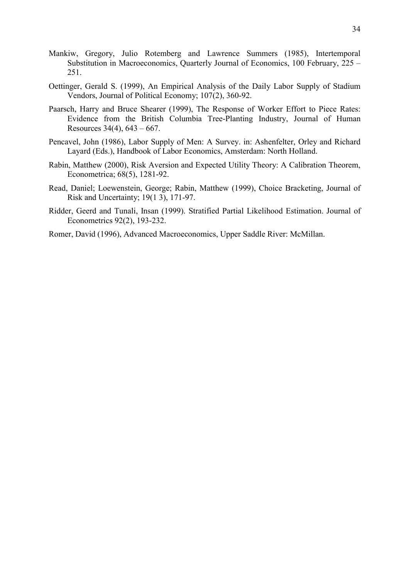- Mankiw, Gregory, Julio Rotemberg and Lawrence Summers (1985), Intertemporal Substitution in Macroeconomics, Quarterly Journal of Economics, 100 February, 225 – 251.
- Oettinger, Gerald S. (1999), An Empirical Analysis of the Daily Labor Supply of Stadium Vendors, Journal of Political Economy; 107(2), 360-92.
- Paarsch, Harry and Bruce Shearer (1999), The Response of Worker Effort to Piece Rates: Evidence from the British Columbia Tree-Planting Industry, Journal of Human Resources 34(4), 643 – 667.
- Pencavel, John (1986), Labor Supply of Men: A Survey. in: Ashenfelter, Orley and Richard Layard (Eds.), Handbook of Labor Economics, Amsterdam: North Holland.
- Rabin, Matthew (2000), Risk Aversion and Expected Utility Theory: A Calibration Theorem, Econometrica; 68(5), 1281-92.
- Read, Daniel; Loewenstein, George; Rabin, Matthew (1999), Choice Bracketing, Journal of Risk and Uncertainty; 19(1 3), 171-97.
- Ridder, Geerd and Tunali, Insan (1999). Stratified Partial Likelihood Estimation. Journal of Econometrics 92(2), 193-232.
- Romer, David (1996), Advanced Macroeconomics, Upper Saddle River: McMillan.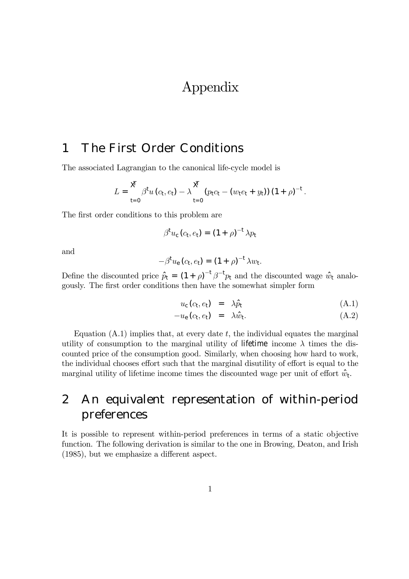# Appendix

# 1 The First Order Conditions

The associated Lagrangian to the canonical life-cycle model is

$$
L = \frac{\cancel{X}}{t=0} \beta^{t} u (c_{t}, e_{t}) - \lambda \frac{\cancel{X}}{t=0} (p_{t} c_{t} - (w_{t} e_{t} + y_{t})) (1 + \rho)^{-t}.
$$

The first order conditions to this problem are

$$
\beta^{\rm t} u_{\rm c} (c_{\rm t}, e_{\rm t}) = (1 + \rho)^{-{\rm t}} \lambda p_{\rm t}
$$

and

$$
-\beta^{\dagger}u_{e}(c_{t},e_{t}) = (1+\rho)^{-1}\lambda w_{t}.
$$

Define the discounted price  $\hat{p}_t = (1 + \rho)^{-t} \rho^{-t} p_t$  and the discounted wage  $\hat{w}_t$  analogously. The first order conditions then have the somewhat simpler form

$$
u_{\rm c}(c_{\rm t},e_{\rm t}) = \lambda \hat{p}_{\rm t} \tag{A.1}
$$

$$
-u_{e}(c_{t},e_{t}) = \lambda \hat{w}_{t}.
$$
 (A.2)

Equation  $(A.1)$  implies that, at every date  $t$ , the individual equates the marginal utility of consumption to the marginal utility of lifetime income  $\lambda$  times the discounted price of the consumption good. Similarly, when choosing how hard to work, the individual chooses effort such that the marginal disutility of effort is equal to the marginal utility of lifetime income times the discounted wage per unit of effort  $\hat{w}_t$ .

# 2 An equivalent representation of within-period preferences

It is possible to represent within-period preferences in terms of a static objective function. The following derivation is similar to the one in Browing, Deaton, and Irish (1985), but we emphasize a different aspect.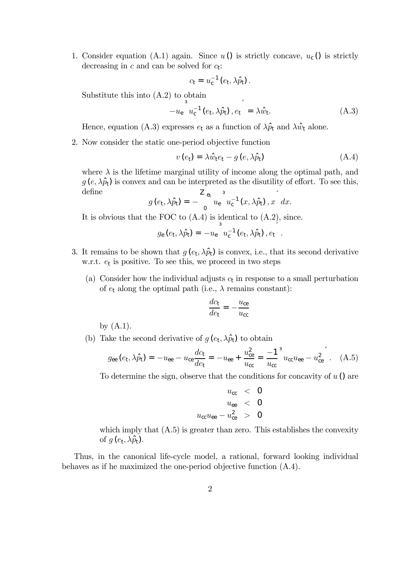1. Consider equation (A.1) again. Since  $u$  () is strictly concave,  $u_c$  () is strictly decreasing in  $c$  and can be solved for  $c_t$ :

$$
c_{\rm t}=u_{\rm c}^{-1}\left(e_{\rm t},\lambda\hat{p}_{\rm t}\right).
$$

Substitute this into (A.2) to obtain

$$
-u_{\rm e} \left[ u_{\rm c}^{-1} \left( e_{\rm t}, \lambda \hat{p}_{\rm t} \right), e_{\rm t} \right] = \lambda \hat{w}_{\rm t}.
$$
 (A.3)

Hence, equation (A.3) expresses  $e_t$  as a function of  $\lambda \hat{p}_t$  and  $\lambda \hat{w}_t$  alone.

2. Now consider the static one-period objective function

$$
v\left(e_{t}\right) = \lambda \hat{w}_{t} e_{t} - g\left(e, \lambda \hat{p}_{t}\right) \tag{A.4}
$$

where  $\lambda$  is the lifetime marginal utility of income along the optimal path, and  $g(e, \lambda \hat{p}_t)$  is convex and can be interpreted as the disutility of effort. To see this, define  $\overline{3}$ 

$$
g\left(e_{t},\lambda\hat{p}_{t}\right)=-\int_{0}^{2}u_{e}^{3}u_{c}^{-1}\left(x,\lambda\hat{p}_{t}\right),x dx.
$$

It is obvious that the FOC to  $(A.4)$  is identical to  $(A.2)$ , since.

$$
g_{e}(e_{t},\lambda\hat{p}_{t})=-u_{e} u_{c}^{-1}(e_{t},\lambda\hat{p}_{t}),e_{t}.
$$

- 3. It remains to be shown that  $g(e_t, \lambda \hat{p}_t)$  is convex, i.e., that its second derivative w.r.t.  $e_t$  is positive. To see this, we proceed in two steps
	- (a) Consider how the individual adjusts  $c_t$  in response to a small perturbation of  $e_t$  along the optimal path (i.e.,  $\lambda$  remains constant):

$$
\frac{dc_{\rm t}}{de_{\rm t}} = -\frac{u_{\rm ce}}{u_{\rm cc}}
$$

by  $(A.1)$ .

(b) Take the second derivative of  $g(e_t, \lambda \hat{p}_t)$  to obtain

$$
g_{ee}(e_t, \lambda \hat{p}_t) = -u_{ee} - u_{ce} \frac{dc_t}{de_t} = -u_{ee} + \frac{u_{ce}^2}{u_{cc}} = \frac{-1}{u_{cc}}^3 u_{cc} u_{ee} - u_{ce}^2 \quad . \quad (A.5)
$$

To determine the sign, observe that the conditions for concavity of  $u$   $\hat{O}$  are

$$
u_{\rm cc} < 0
$$
\n
$$
u_{\rm ee} < 0
$$
\n
$$
u_{\rm cc}u_{\rm ee} - u_{\rm ce}^2 > 0
$$

which imply that  $(A.5)$  is greater than zero. This establishes the convexity of  $q$  ( $e_t$ ,  $\lambda \hat{p}_t$ ).

Thus, in the canonical life-cycle model, a rational, forward looking individual behaves as if he maximized the one-period objective function (A.4).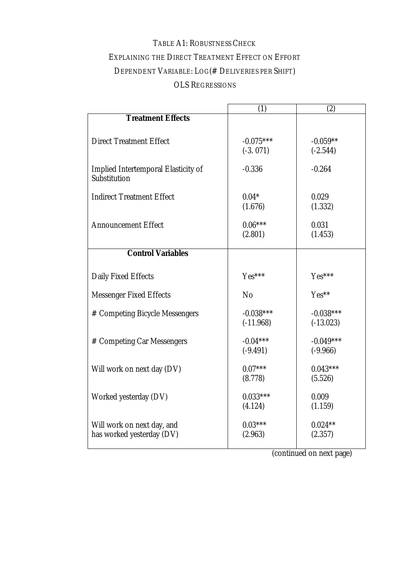# TABLE A1: ROBUSTNESS CHECK EXPLAINING THE DIRECT TREATMENT EFFECT ON EFFORT DEPENDENT VARIABLE: LOG(# DELIVERIES PER SHIFT) OLS REGRESSIONS

|                                                         | (1)                        | (2)                        |
|---------------------------------------------------------|----------------------------|----------------------------|
| <b>Treatment Effects</b>                                |                            |                            |
| <b>Direct Treatment Effect</b>                          | $-0.075***$<br>$(-3.071)$  | $-0.059**$<br>$(-2.544)$   |
| Implied Intertemporal Elasticity of<br>Substitution     | $-0.336$                   | $-0.264$                   |
| <b>Indirect Treatment Effect</b>                        | $0.04*$<br>(1.676)         | 0.029<br>(1.332)           |
| <b>Announcement Effect</b>                              | $0.06***$<br>(2.801)       | 0.031<br>(1.453)           |
| <b>Control Variables</b>                                |                            |                            |
|                                                         |                            |                            |
| Daily Fixed Effects                                     | Yes***                     | Yes***                     |
| <b>Messenger Fixed Effects</b>                          | No                         | Yes**                      |
| # Competing Bicycle Messengers                          | $-0.038***$<br>$(-11.968)$ | $-0.038***$<br>$(-13.023)$ |
| # Competing Car Messengers                              | $-0.04***$<br>$(-9.491)$   | $-0.049***$<br>$(-9.966)$  |
| Will work on next day (DV)                              | $0.07***$<br>(8.778)       | $0.043***$<br>(5.526)      |
| Worked yesterday (DV)                                   | $0.033***$<br>(4.124)      | 0.009<br>(1.159)           |
| Will work on next day, and<br>has worked yesterday (DV) | $0.03***$<br>(2.963)       | $0.024**$<br>(2.357)       |

(continued on next page)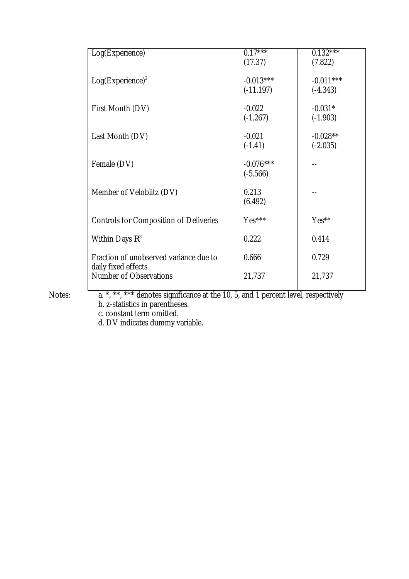| Log(Experience)                               | $0.17***$   | $0.132***$            |
|-----------------------------------------------|-------------|-----------------------|
|                                               | (17.37)     | (7.822)               |
| $Log(Experiment)^2$                           | $-0.013***$ | $-0.011***$           |
|                                               | $(-11.197)$ | $(-4.343)$            |
| First Month (DV)                              | $-0.022$    | $-0.031*$             |
|                                               | $(-1.267)$  | $(-1.903)$            |
| Last Month (DV)                               | $-0.021$    | $-0.028**$            |
|                                               | $(-1.41)$   | $(-2.035)$            |
| Female (DV)                                   | $-0.076***$ |                       |
|                                               | $(-5.566)$  |                       |
| Member of Veloblitz (DV)                      | 0.213       |                       |
|                                               | (6.492)     |                       |
| <b>Controls for Composition of Deliveries</b> | Yes***      | $Yes^{*\overline{*}}$ |
| Within Days $R^2$                             | 0.222       | 0.414                 |
| Fraction of unobserved variance due to        | 0.666       | 0.729                 |
| daily fixed effects                           |             |                       |
| <b>Number of Observations</b>                 | 21,737      | 21,737                |

Notes: a. \*, \*\*, \*\*\* denotes significance at the 10, 5, and 1 percent level, respectively b. z-statistics in parentheses.

c. constant term omitted.

d. DV indicates dummy variable.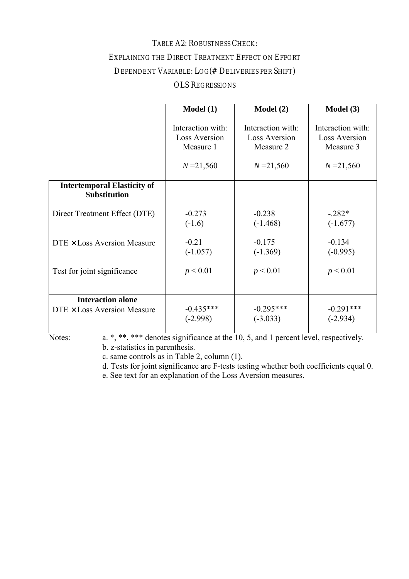### TABLE A2: ROBUSTNESS CHECK:

### EXPLAINING THE DIRECT TREATMENT EFFECT ON EFFORT

### DEPENDENT VARIABLE: LOG(# DELIVERIES PER SHIFT)

### OLS REGRESSIONS

|                                                           | Model(1)          | Model(2)             | Model (3)            |
|-----------------------------------------------------------|-------------------|----------------------|----------------------|
|                                                           | Interaction with: | Interaction with:    | Interaction with:    |
|                                                           | Loss Aversion     | <b>Loss Aversion</b> | <b>Loss Aversion</b> |
|                                                           | Measure 1         | Measure 2            | Measure 3            |
|                                                           | $N = 21,560$      | $N = 21,560$         | $N = 21,560$         |
| <b>Intertemporal Elasticity of</b><br><b>Substitution</b> |                   |                      |                      |
| Direct Treatment Effect (DTE)                             | $-0.273$          | $-0.238$             | $-.282*$             |
|                                                           | $(-1.6)$          | $(-1.468)$           | $(-1.677)$           |
| $DTE \times Loss$ Aversion Measure                        | $-0.21$           | $-0.175$             | $-0.134$             |
|                                                           | $(-1.057)$        | $(-1.369)$           | $(-0.995)$           |
| Test for joint significance                               | p < 0.01          | p < 0.01             | p < 0.01             |
| <b>Interaction alone</b>                                  | $-0.435***$       | $-0.295***$          | $-0.291***$          |
| $DTE \times Loss$ Aversion Measure                        | $(-2.998)$        | $(-3.033)$           | $(-2.934)$           |

Notes: a. \*, \*\*, \*\*\* denotes significance at the 10, 5, and 1 percent level, respectively. b. z-statistics in parenthesis.

c. same controls as in Table 2, column (1).

d. Tests for joint significance are F-tests testing whether both coefficients equal 0.

e. See text for an explanation of the Loss Aversion measures.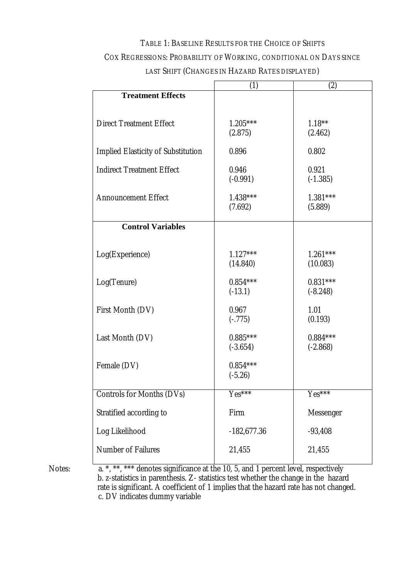# TABLE 1: BASELINE RESULTS FOR THE CHOICE OF SHIFTS COX REGRESSIONS: PROBABILITY OF WORKING, CONDITIONAL ON DAYS SINCE LAST SHIFT (CHANGES IN HAZARD RATES DISPLAYED)

|                                           | (1)           | (2)                      |
|-------------------------------------------|---------------|--------------------------|
| <b>Treatment Effects</b>                  |               |                          |
|                                           |               |                          |
| <b>Direct Treatment Effect</b>            | $1.205***$    | $1.18**$                 |
|                                           | (2.875)       | (2.462)                  |
|                                           |               |                          |
| <b>Implied Elasticity of Substitution</b> | 0.896         | 0.802                    |
|                                           |               |                          |
| <b>Indirect Treatment Effect</b>          | 0.946         | 0.921                    |
|                                           | $(-0.991)$    | $(-1.385)$               |
| <b>Announcement Effect</b>                | $1.438***$    | $1.381***$               |
|                                           | (7.692)       | (5.889)                  |
|                                           |               |                          |
| <b>Control Variables</b>                  |               |                          |
|                                           |               |                          |
|                                           |               |                          |
| Log(Experience)                           | $1.127***$    | $1.261***$               |
|                                           | (14.840)      | (10.083)                 |
| Log(Tenure)                               | $0.854***$    | $0.831***$               |
|                                           | $(-13.1)$     | $(-8.248)$               |
|                                           |               |                          |
| <b>First Month (DV)</b>                   | 0.967         | 1.01                     |
|                                           | $(-.775)$     | (0.193)                  |
|                                           |               |                          |
| Last Month (DV)                           | $0.885***$    | $0.884***$<br>$(-2.868)$ |
|                                           | $(-3.654)$    |                          |
| Female (DV)                               | $0.854***$    |                          |
|                                           | $(-5.26)$     |                          |
|                                           |               |                          |
| <b>Controls for Months (DVs)</b>          | $Yes***$      | $Yes***$                 |
|                                           |               |                          |
| Stratified according to                   | Firm          | Messenger                |
| Log Likelihood                            | $-182,677.36$ | $-93,408$                |
|                                           |               |                          |
| <b>Number of Failures</b>                 | 21,455        | 21,455                   |
|                                           |               |                          |

Notes: a. \*, \*\*, \*\*\* denotes significance at the 10, 5, and 1 percent level, respectively b. z-statistics in parenthesis. Z- statistics test whether the change in the hazard rate is significant. A coefficient of 1 implies that the hazard rate has not changed. c. DV indicates dummy variable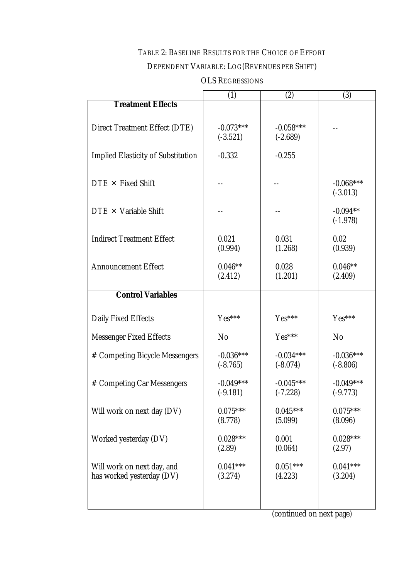# TABLE 2: BASELINE RESULTS FOR THE CHOICE OF EFFORT

# DEPENDENT VARIABLE: LOG(REVENUES PER SHIFT)

|                                                         | (1)                       | (2)                       | (3)                       |
|---------------------------------------------------------|---------------------------|---------------------------|---------------------------|
| <b>Treatment Effects</b>                                |                           |                           |                           |
| <b>Direct Treatment Effect (DTE)</b>                    | $-0.073***$<br>$(-3.521)$ | $-0.058***$<br>$(-2.689)$ |                           |
| <b>Implied Elasticity of Substitution</b>               | $-0.332$                  | $-0.255$                  |                           |
| $DTE \times Fixed Shift$                                |                           |                           | $-0.068***$               |
| $DTE \times Variable Shift$                             |                           |                           | $(-3.013)$<br>$-0.094**$  |
| <b>Indirect Treatment Effect</b>                        | 0.021                     | 0.031                     | $(-1.978)$<br>0.02        |
|                                                         | (0.994)                   | (1.268)                   | (0.939)                   |
| <b>Announcement Effect</b>                              | $0.046**$<br>(2.412)      | 0.028<br>(1.201)          | $0.046**$<br>(2.409)      |
| <b>Control Variables</b>                                |                           |                           |                           |
| Daily Fixed Effects                                     | Yes***                    | $Yes***$                  | Yes***                    |
| <b>Messenger Fixed Effects</b>                          | N <sub>o</sub>            | Yes***                    | N <sub>o</sub>            |
| # Competing Bicycle Messengers                          | $-0.036***$<br>$(-8.765)$ | $-0.034***$<br>$(-8.074)$ | $-0.036***$<br>$(-8.806)$ |
| # Competing Car Messengers                              | $-0.049***$<br>$(-9.181)$ | $-0.045***$<br>$(-7.228)$ | $-0.049***$<br>$(-9.773)$ |
| Will work on next day (DV)                              | $0.075***$<br>(8.778)     | $0.045***$<br>(5.099)     | $0.075***$<br>(8.096)     |
| Worked yesterday (DV)                                   | $0.028***$<br>(2.89)      | 0.001<br>(0.064)          | $0.028***$<br>(2.97)      |
| Will work on next day, and<br>has worked yesterday (DV) | $0.041***$<br>(3.274)     | $0.051***$<br>(4.223)     | $0.041***$<br>(3.204)     |

### OLS REGRESSIONS

(continued on next page)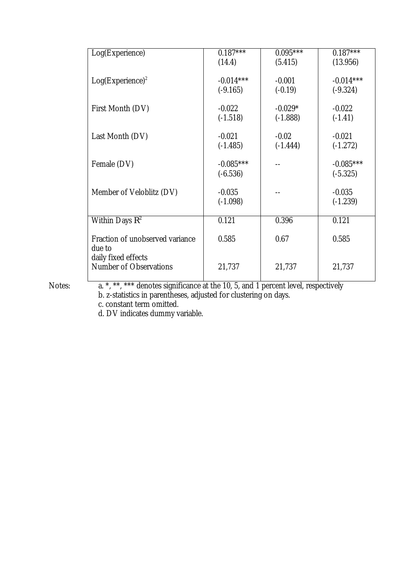| Log(Experience)                 | $0.187***$  | $0.095***$ | $0.187***$  |
|---------------------------------|-------------|------------|-------------|
|                                 | (14.4)      | (5.415)    | (13.956)    |
|                                 |             |            |             |
| $Log(Experiment)^2$             | $-0.014***$ | $-0.001$   | $-0.014***$ |
|                                 | $(-9.165)$  | $(-0.19)$  | $(-9.324)$  |
|                                 |             |            |             |
| First Month (DV)                | $-0.022$    | $-0.029*$  | $-0.022$    |
|                                 | $(-1.518)$  | $(-1.888)$ | $(-1.41)$   |
|                                 |             |            |             |
| Last Month (DV)                 | $-0.021$    | $-0.02$    | $-0.021$    |
|                                 | $(-1.485)$  | $(-1.444)$ | $(-1.272)$  |
|                                 |             |            |             |
| Female (DV)                     | $-0.085***$ |            | $-0.085***$ |
|                                 | $(-6.536)$  |            | $(-5.325)$  |
|                                 | $-0.035$    |            | $-0.035$    |
| Member of Veloblitz (DV)        |             |            |             |
|                                 | $(-1.098)$  |            | $(-1.239)$  |
| Within Days $R^2$               | 0.121       | 0.396      | 0.121       |
|                                 |             |            |             |
| Fraction of unobserved variance | 0.585       | 0.67       | 0.585       |
| due to                          |             |            |             |
| daily fixed effects             |             |            |             |
| <b>Number of Observations</b>   | 21,737      | 21,737     | 21,737      |
|                                 |             |            |             |

Notes: a. \*, \*\*, \*\*\* denotes significance at the 10, 5, and 1 percent level, respectively b. z-statistics in parentheses, adjusted for clustering on days.

c. constant term omitted.

d. DV indicates dummy variable.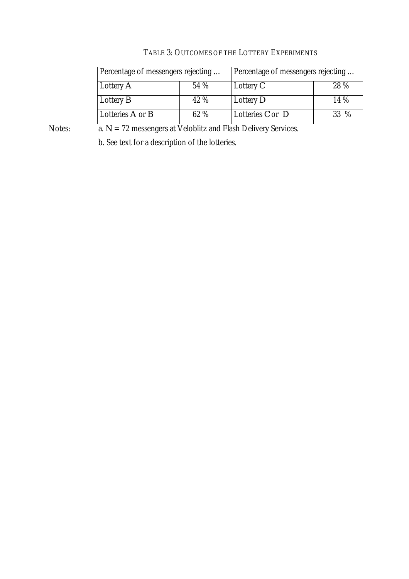| Percentage of messengers rejecting |      | Percentage of messengers rejecting |      |
|------------------------------------|------|------------------------------------|------|
| Lottery $A$                        | 54 % | Lottery $C$                        | 28 % |
| Lottery $B$                        | 42 % | Lottery $D$                        | 14%  |
| Lotteries $A$ or $B$               | 62 % | Lotteries $C$ or $D$               | 33 % |

# TABLE 3: OUTCOMES OF THE LOTTERY EXPERIMENTS

Notes: **a.** *N* = 72 messengers at Veloblitz and Flash Delivery Services.

b. See text for a description of the lotteries.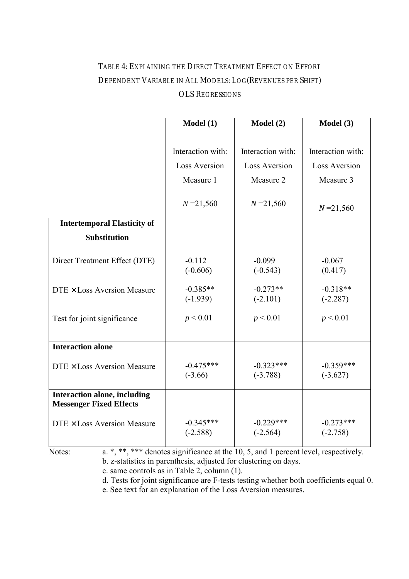# TABLE 4: EXPLAINING THE DIRECT TREATMENT EFFECT ON EFFORT DEPENDENT VARIABLE IN ALL MODELS: LOG(REVENUES PER SHIFT) OLS REGRESSIONS

|                                                                | Model(1)                  | Model(2)                  | Model (3)                 |
|----------------------------------------------------------------|---------------------------|---------------------------|---------------------------|
|                                                                |                           |                           |                           |
|                                                                | Interaction with:         | Interaction with:         | Interaction with:         |
|                                                                | <b>Loss Aversion</b>      | <b>Loss Aversion</b>      | <b>Loss Aversion</b>      |
|                                                                | Measure 1                 | Measure 2                 | Measure 3                 |
|                                                                | $N = 21,560$              | $N = 21,560$              | $N = 21,560$              |
| <b>Intertemporal Elasticity of</b>                             |                           |                           |                           |
| <b>Substitution</b>                                            |                           |                           |                           |
| Direct Treatment Effect (DTE)                                  | $-0.112$<br>$(-0.606)$    | $-0.099$<br>$(-0.543)$    | $-0.067$<br>(0.417)       |
| $DTE \times Loss$ Aversion Measure                             | $-0.385**$<br>$(-1.939)$  | $-0.273**$<br>$(-2.101)$  | $-0.318**$<br>$(-2.287)$  |
| Test for joint significance                                    | p < 0.01                  | p < 0.01                  | p < 0.01                  |
| <b>Interaction alone</b>                                       |                           |                           |                           |
| DTE × Loss Aversion Measure                                    | $-0.475***$<br>$(-3.66)$  | $-0.323***$<br>$(-3.788)$ | $-0.359***$<br>$(-3.627)$ |
| Interaction alone, including<br><b>Messenger Fixed Effects</b> |                           |                           |                           |
| DTE × Loss Aversion Measure                                    | $-0.345***$<br>$(-2.588)$ | $-0.229***$<br>$(-2.564)$ | $-0.273***$<br>$(-2.758)$ |

Notes: a. \*, \*\*, \*\*\* denotes significance at the 10, 5, and 1 percent level, respectively. b. z-statistics in parenthesis, adjusted for clustering on days.

c. same controls as in Table 2, column (1).

d. Tests for joint significance are F-tests testing whether both coefficients equal 0.

e. See text for an explanation of the Loss Aversion measures.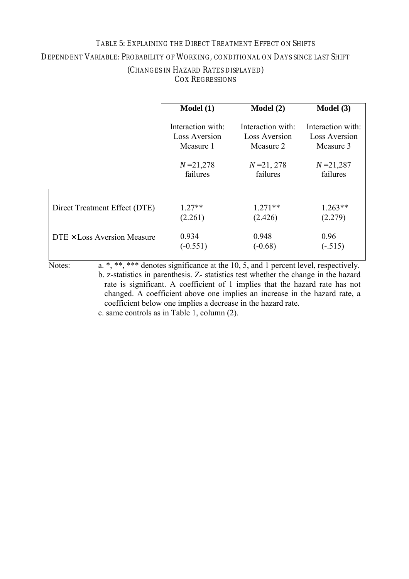### TABLE 5: EXPLAINING THE DIRECT TREATMENT EFFECT ON SHIFTS

DEPENDENT VARIABLE: PROBABILITY OF WORKING, CONDITIONAL ON DAYS SINCE LAST SHIFT

|                                    | Model(1)          | Model(2)          | Model (3)         |
|------------------------------------|-------------------|-------------------|-------------------|
|                                    | Interaction with: | Interaction with: | Interaction with: |
|                                    | Loss Aversion     | Loss Aversion     | Loss Aversion     |
|                                    | Measure 1         | Measure 2         | Measure 3         |
|                                    | $N = 21,278$      | $N = 21, 278$     | $N = 21,287$      |
|                                    | failures          | failures          | failures          |
| Direct Treatment Effect (DTE)      | $1.27**$          | $1.271**$         | $1.263**$         |
|                                    | (2.261)           | (2.426)           | (2.279)           |
| $DTE \times Loss$ Aversion Measure | 0.934             | 0.948             | 0.96              |
|                                    | $(-0.551)$        | $(-0.68)$         | $(-.515)$         |

### (CHANGES IN HAZARD RATES DISPLAYED) COX REGRESSIONS

Notes:  $\overline{a^*, *^*, *^*}$  denotes significance at the 10, 5, and 1 percent level, respectively. b. z-statistics in parenthesis. Z- statistics test whether the change in the hazard rate is significant. A coefficient of 1 implies that the hazard rate has not changed. A coefficient above one implies an increase in the hazard rate, a coefficient below one implies a decrease in the hazard rate.

c. same controls as in Table 1, column (2).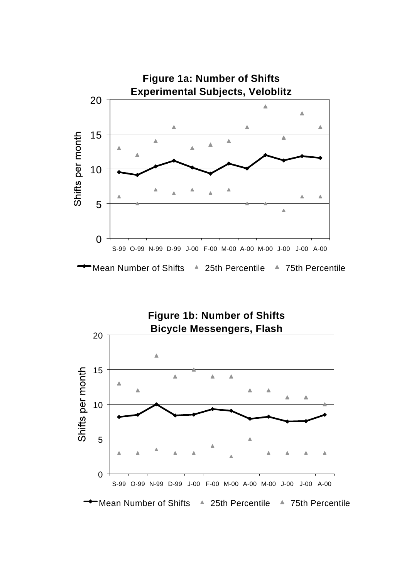

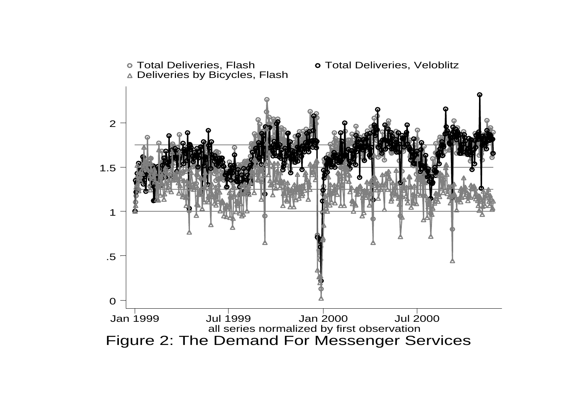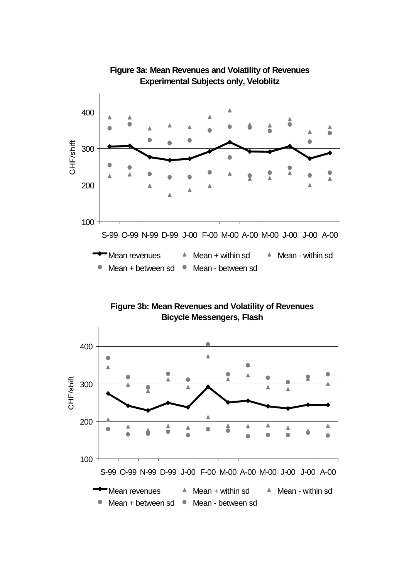

## **Figure 3a: Mean Revenues and Volatility of Revenues Experimental Subjects only, Veloblitz**



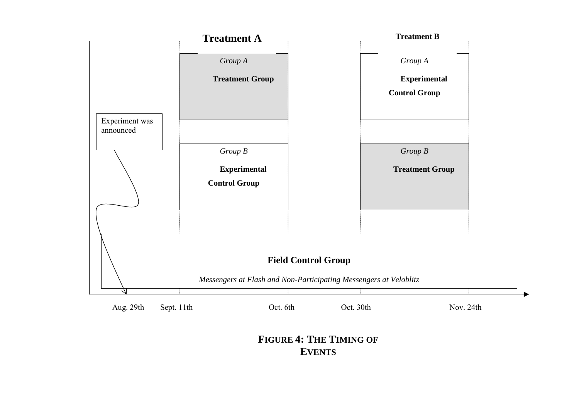

**FIGURE 4: THE TIMING OF EVENTS**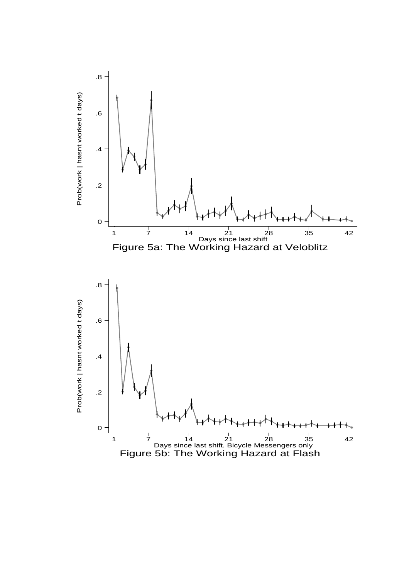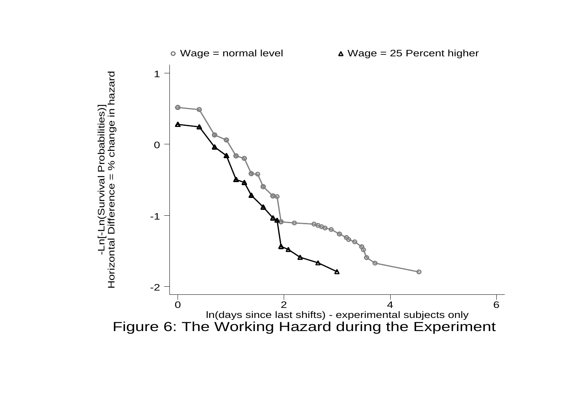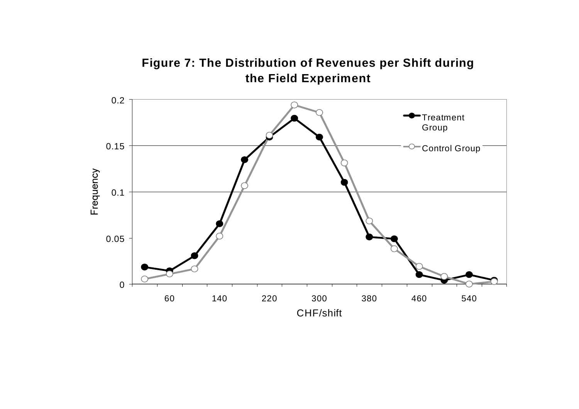